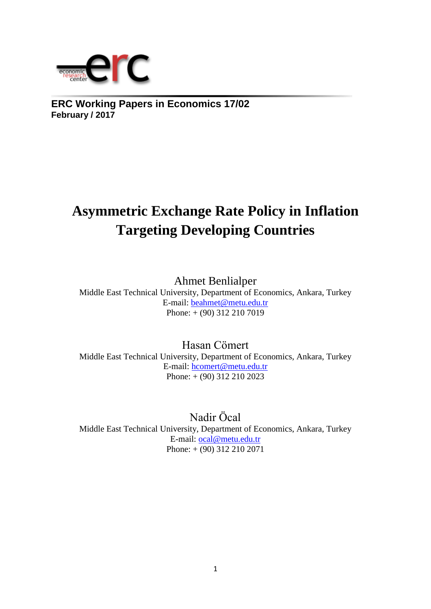

**ERC Working Papers in Economics 17/02 February / 2017**

# **Asymmetric Exchange Rate Policy in Inflation Targeting Developing Countries**

Ahmet Benlialper

Middle East Technical University, Department of Economics, Ankara, Turkey E-mail: [beahmet@metu.edu.tr](mailto:beahmet@metu.edu.tr) Phone: + (90) 312 210 7019

Hasan Cömert Middle East Technical University, Department of Economics, Ankara, Turkey E-mail: [hcomert@metu.edu.tr](mailto:hcomert@metu.edu.tr) Phone: + (90) 312 210 2023

Nadir Öcal Middle East Technical University, Department of Economics, Ankara, Turkey E-mail: [ocal@metu.edu.tr](mailto:ocal@metu.edu.tr) Phone: + (90) 312 210 2071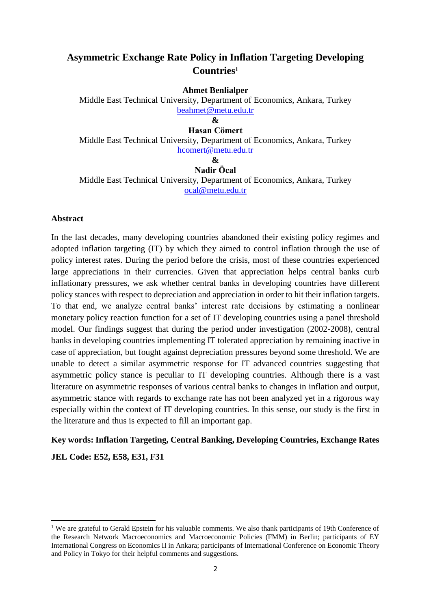# **Asymmetric Exchange Rate Policy in Inflation Targeting Developing Countries<sup>1</sup>**

**Ahmet Benlialper**

Middle East Technical University, Department of Economics, Ankara, Turkey [beahmet@metu.edu.tr](mailto:beahmet@metu.edu.tr)

**&**

## **Hasan Cömert**

Middle East Technical University, Department of Economics, Ankara, Turkey [hcomert@metu.edu.tr](mailto:hcomert@metu.edu.tr)

#### **& Nadir Öcal**

Middle East Technical University, Department of Economics, Ankara, Turkey [ocal@metu.edu.tr](mailto:ocal@metu.edu.tr)

#### **Abstract**

In the last decades, many developing countries abandoned their existing policy regimes and adopted inflation targeting (IT) by which they aimed to control inflation through the use of policy interest rates. During the period before the crisis, most of these countries experienced large appreciations in their currencies. Given that appreciation helps central banks curb inflationary pressures, we ask whether central banks in developing countries have different policy stances with respect to depreciation and appreciation in order to hit their inflation targets. To that end, we analyze central banks' interest rate decisions by estimating a nonlinear monetary policy reaction function for a set of IT developing countries using a panel threshold model. Our findings suggest that during the period under investigation (2002-2008), central banks in developing countries implementing IT tolerated appreciation by remaining inactive in case of appreciation, but fought against depreciation pressures beyond some threshold. We are unable to detect a similar asymmetric response for IT advanced countries suggesting that asymmetric policy stance is peculiar to IT developing countries. Although there is a vast literature on asymmetric responses of various central banks to changes in inflation and output, asymmetric stance with regards to exchange rate has not been analyzed yet in a rigorous way especially within the context of IT developing countries. In this sense, our study is the first in the literature and thus is expected to fill an important gap.

## **Key words: Inflation Targeting, Central Banking, Developing Countries, Exchange Rates**

**JEL Code: E52, E58, E31, F31**

<sup>&</sup>lt;sup>1</sup> We are grateful to Gerald Epstein for his valuable comments. We also thank participants of 19th Conference of the Research Network Macroeconomics and Macroeconomic Policies (FMM) in Berlin; participants of EY International Congress on Economics II in Ankara; participants of International Conference on Economic Theory and Policy in Tokyo for their helpful comments and suggestions.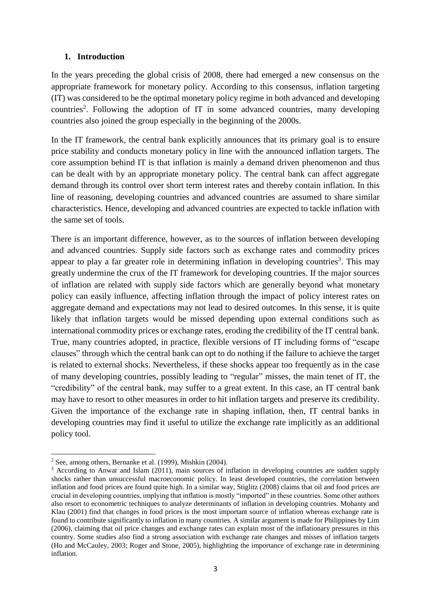## **1. Introduction**

In the years preceding the global crisis of 2008, there had emerged a new consensus on the appropriate framework for monetary policy. According to this consensus, inflation targeting (IT) was considered to be the optimal monetary policy regime in both advanced and developing countries<sup>2</sup>. Following the adoption of IT in some advanced countries, many developing countries also joined the group especially in the beginning of the 2000s.

In the IT framework, the central bank explicitly announces that its primary goal is to ensure price stability and conducts monetary policy in line with the announced inflation targets. The core assumption behind IT is that inflation is mainly a demand driven phenomenon and thus can be dealt with by an appropriate monetary policy. The central bank can affect aggregate demand through its control over short term interest rates and thereby contain inflation. In this line of reasoning, developing countries and advanced countries are assumed to share similar characteristics. Hence, developing and advanced countries are expected to tackle inflation with the same set of tools.

There is an important difference, however, as to the sources of inflation between developing and advanced countries. Supply side factors such as exchange rates and commodity prices appear to play a far greater role in determining inflation in developing countries<sup>3</sup>. This may greatly undermine the crux of the IT framework for developing countries. If the major sources of inflation are related with supply side factors which are generally beyond what monetary policy can easily influence, affecting inflation through the impact of policy interest rates on aggregate demand and expectations may not lead to desired outcomes. In this sense, it is quite likely that inflation targets would be missed depending upon external conditions such as international commodity prices or exchange rates, eroding the credibility of the IT central bank. True, many countries adopted, in practice, flexible versions of IT including forms of "escape clauses" through which the central bank can opt to do nothing if the failure to achieve the target is related to external shocks. Nevertheless, if these shocks appear too frequently as in the case of many developing countries, possibly leading to "regular" misses, the main tenet of IT, the "credibility" of the central bank, may suffer to a great extent. In this case, an IT central bank may have to resort to other measures in order to hit inflation targets and preserve its credibility. Given the importance of the exchange rate in shaping inflation, then, IT central banks in developing countries may find it useful to utilize the exchange rate implicitly as an additional policy tool.

<sup>1</sup> <sup>2</sup> See, among others, Bernanke et al. (1999), Mishkin (2004).

<sup>&</sup>lt;sup>3</sup> According to Anwar and Islam (2011), main sources of inflation in developing countries are sudden supply shocks rather than unsuccessful macroeconomic policy. In least developed countries, the correlation between inflation and food prices are found quite high. In a similar way, Stiglitz (2008) claims that oil and food prices are crucial in developing countries, implying that inflation is mostly "imported" in these countries. Some other authors also resort to econometric techniques to analyze determinants of inflation in developing countries. Mohanty and Klau (2001) find that changes in food prices is the most important source of inflation whereas exchange rate is found to contribute significantly to inflation in many countries. A similar argument is made for Philippines by Lim (2006), claiming that oil price changes and exchange rates can explain most of the inflationary pressures in this country. Some studies also find a strong association with exchange rate changes and misses of inflation targets (Ho and McCauley, 2003; Roger and Stone, 2005), highlighting the importance of exchange rate in determining inflation.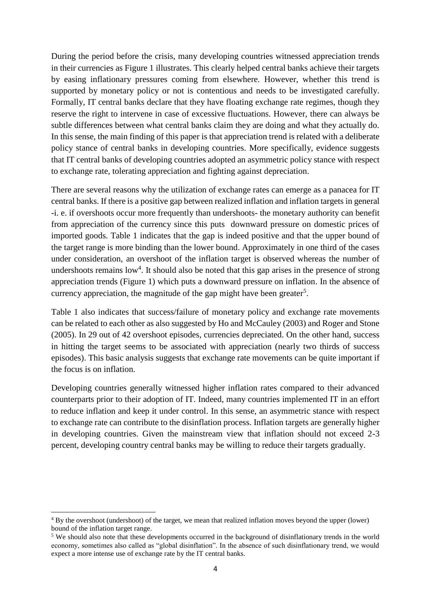During the period before the crisis, many developing countries witnessed appreciation trends in their currencies as Figure 1 illustrates. This clearly helped central banks achieve their targets by easing inflationary pressures coming from elsewhere. However, whether this trend is supported by monetary policy or not is contentious and needs to be investigated carefully. Formally, IT central banks declare that they have floating exchange rate regimes, though they reserve the right to intervene in case of excessive fluctuations. However, there can always be subtle differences between what central banks claim they are doing and what they actually do. In this sense, the main finding of this paper is that appreciation trend is related with a deliberate policy stance of central banks in developing countries. More specifically, evidence suggests that IT central banks of developing countries adopted an asymmetric policy stance with respect to exchange rate, tolerating appreciation and fighting against depreciation.

There are several reasons why the utilization of exchange rates can emerge as a panacea for IT central banks. If there is a positive gap between realized inflation and inflation targets in general -i. e. if overshoots occur more frequently than undershoots- the monetary authority can benefit from appreciation of the currency since this puts downward pressure on domestic prices of imported goods. Table 1 indicates that the gap is indeed positive and that the upper bound of the target range is more binding than the lower bound. Approximately in one third of the cases under consideration, an overshoot of the inflation target is observed whereas the number of undershoots remains  $low<sup>4</sup>$ . It should also be noted that this gap arises in the presence of strong appreciation trends (Figure 1) which puts a downward pressure on inflation. In the absence of currency appreciation, the magnitude of the gap might have been greater<sup>5</sup>.

Table 1 also indicates that success/failure of monetary policy and exchange rate movements can be related to each other as also suggested by Ho and McCauley (2003) and Roger and Stone (2005). In 29 out of 42 overshoot episodes, currencies depreciated. On the other hand, success in hitting the target seems to be associated with appreciation (nearly two thirds of success episodes). This basic analysis suggests that exchange rate movements can be quite important if the focus is on inflation.

Developing countries generally witnessed higher inflation rates compared to their advanced counterparts prior to their adoption of IT. Indeed, many countries implemented IT in an effort to reduce inflation and keep it under control. In this sense, an asymmetric stance with respect to exchange rate can contribute to the disinflation process. Inflation targets are generally higher in developing countries. Given the mainstream view that inflation should not exceed 2-3 percent, developing country central banks may be willing to reduce their targets gradually.

<sup>4</sup> By the overshoot (undershoot) of the target, we mean that realized inflation moves beyond the upper (lower) bound of the inflation target range.

<sup>5</sup> We should also note that these developments occurred in the background of disinflationary trends in the world economy, sometimes also called as "global disinflation". In the absence of such disinflationary trend, we would expect a more intense use of exchange rate by the IT central banks.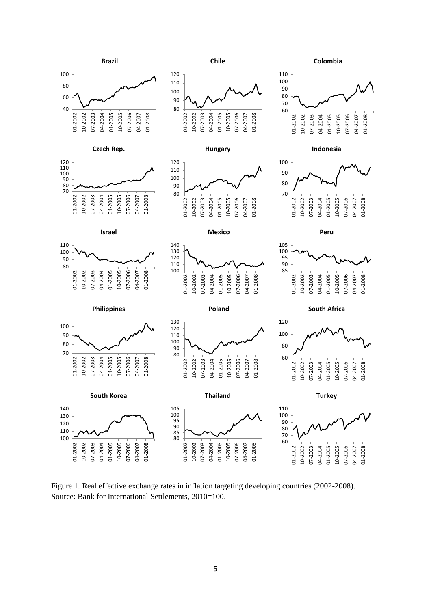

Figure 1. Real effective exchange rates in inflation targeting developing countries (2002-2008). Source: Bank for International Settlements, 2010=100.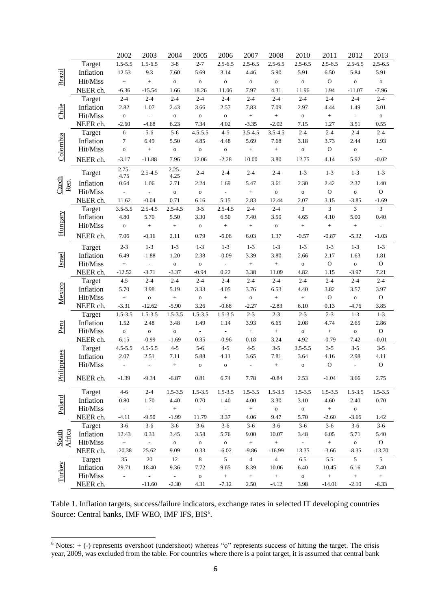|                 |           | 2002                     | 2003                     | 2004             | 2005                     | 2006                     | 2007                     | 2008             | 2010             | 2011             | 2012                     | 2013                     |
|-----------------|-----------|--------------------------|--------------------------|------------------|--------------------------|--------------------------|--------------------------|------------------|------------------|------------------|--------------------------|--------------------------|
|                 | Target    | $1.5 - 5.5$              | $1.5 - 6.5$              | $3 - 8$          | $2 - 7$                  | $2.5 - 6.5$              | $2.5 - 6.5$              | $2.5 - 6.5$      | $2.5 - 6.5$      | $2.5 - 6.5$      | $2.5 - 6.5$              | $2.5 - 6.5$              |
|                 | Inflation | 12.53                    | 9.3                      | 7.60             | 5.69                     | 3.14                     | 4.46                     | 5.90             | 5.91             | 6.50             | 5.84                     | 5.91                     |
| <b>Brazil</b>   | Hit/Miss  | $^{+}$                   | $\ddag$                  | $\mathbf 0$      | $\mathbf 0$              | $\mathbf{o}$             | $\mathbf 0$              | $\mathbf{o}$     | ${\bf O}$        | $\mathbf{O}$     | $\mathbf 0$              | ${\bf O}$                |
|                 | NEER ch.  | $-6.36$                  | $-15.54$                 | 1.66             | 18.26                    | 11.06                    | 7.97                     | 4.31             | 11.96            | 1.94             | $-11.07$                 | $-7.96$                  |
|                 | Target    | $2 - 4$                  | $2 - 4$                  | $2 - 4$          | $2 - 4$                  | $2 - 4$                  | $2 - 4$                  | $2 - 4$          | $2 - 4$          | $2 - 4$          | $2 - 4$                  | $2 - 4$                  |
|                 | Inflation | 2.82                     | 1.07                     | 2.43             | 3.66                     | 2.57                     | 7.83                     | 7.09             | 2.97             | 4.44             | 1.49                     | 3.01                     |
| Chile           | Hit/Miss  | $\mathbf{o}$             | $\sim$                   | $\mathbf 0$      | $\mathbf{o}$             | ${\bf O}$                | $^+$                     | $\boldsymbol{+}$ | $\mathbf{o}$     | $\boldsymbol{+}$ | $\overline{\phantom{a}}$ | ${\bf O}$                |
|                 | NEER ch.  | $-2.60$                  | $-4.68$                  | 6.23             | 7.34                     | 4.02                     | $-3.35$                  | $-2.02$          | 7.15             | 1.27             | 3.51                     | 0.55                     |
|                 | Target    | $\sqrt{6}$               | $5-6$                    | $5 - 6$          | $4.5 - 5.5$              | $4 - 5$                  | $3.5 - 4.5$              | $3.5 - 4.5$      | $2 - 4$          | $2 - 4$          | $2 - 4$                  | $2 - 4$                  |
|                 | Inflation | $\tau$                   | 6.49                     | 5.50             | 4.85                     | 4.48                     | 5.69                     | 7.68             | 3.18             | 3.73             | 2.44                     | 1.93                     |
| Colombia        | Hit/Miss  | $\mathbf 0$              | $\! +$                   | $\mathbf 0$      | $\mathbf{o}$             | $\mathbf{o}$             | $^+$                     | $\! +$           | $\mathbf{o}$     | $\mathbf{O}$     | ${\bf O}$                | $\overline{\phantom{a}}$ |
|                 | NEER ch.  | $-3.17$                  | $-11.88$                 | 7.96             | 12.06                    | $-2.28$                  | 10.00                    | 3.80             | 12.75            | 4.14             | 5.92                     | $-0.02$                  |
|                 | Target    | $2.75 -$<br>4.75         | $2.5 - 4.5$              | $2.25 -$<br>4.25 | $2 - 4$                  | $2 - 4$                  | $2 - 4$                  | $2 - 4$          | $1 - 3$          | $1 - 3$          | $1 - 3$                  | $1 - 3$                  |
| Czech<br>Rep.   | Inflation | 0.64                     | 1.06                     | 2.71             | 2.24                     | 1.69                     | 5.47                     | 3.61             | 2.30             | 2.42             | 2.37                     | 1.40                     |
|                 | Hit/Miss  | $\overline{\phantom{a}}$ | $\overline{\phantom{a}}$ | $\mathbf 0$      | ${\bf O}$                | $\overline{\phantom{a}}$ | $^{+}$                   | $\mathbf{o}$     | ${\bf O}$        | ${\rm O}$        | $\mathbf{o}$             | ${\rm O}$                |
|                 | NEER ch.  | 11.62                    | $-0.04$                  | 0.71             | 6.16                     | 5.15                     | 2.83                     | 12.44            | 2.07             | 3.15             | $-3.85$                  | $-1.69$                  |
|                 | Target    | $3.5 - 5.5$              | $2.5 - 4.5$              | $2.5 - 4.5$      | $3 - 5$                  | $2.5 - 4.5$              | $2 - 4$                  | $2 - 4$          | $\mathfrak{Z}$   | $\mathfrak{Z}$   | $\mathfrak{Z}$           | $\mathfrak{Z}$           |
|                 | Inflation | 4.80                     | 5.70                     | 5.50             | 3.30                     | 6.50                     | 7.40                     | 3.50             | 4.65             | 4.10             | 5.00                     | 0.40                     |
| Hungary         | Hit/Miss  | $\mathbf 0$              | $\boldsymbol{+}$         | $\boldsymbol{+}$ | ${\bf O}$                | $\boldsymbol{+}$         | $\boldsymbol{+}$         | $\mathbf{o}$     | $\boldsymbol{+}$ | $\boldsymbol{+}$ | $\! + \!\!\!\!$          |                          |
|                 | NEER ch.  | 7.06                     | $-0.16$                  | 2.11             | 0.79                     | $-6.08$                  | 6.03                     | 1.37             | $-0.57$          | $-0.87$          | $-5.32$                  | $-1.03$                  |
|                 | Target    | $2 - 3$                  | $1 - 3$                  | $1 - 3$          | $1 - 3$                  | $1 - 3$                  | $1 - 3$                  | $1 - 3$          | $1 - 3$          | $1 - 3$          | $1 - 3$                  | $1 - 3$                  |
| Israel          | Inflation | 6.49                     | $-1.88$                  | 1.20             | 2.38                     | $-0.09$                  | 3.39                     | 3.80             | 2.66             | 2.17             | 1.63                     | 1.81                     |
|                 | Hit/Miss  | $^{+}$                   |                          | $\mathbf 0$      | ${\bf O}$                | $\overline{\phantom{a}}$ | $\! + \!$                | $\! +$           | $\mathbf{o}$     | $\mathbf{O}$     | $\mathbf{o}$             | ${\rm O}$                |
|                 | NEER ch.  | $-12.52$                 | $-3.71$                  | $-3.37$          | $-0.94$                  | 0.22                     | 3.38                     | 11.09            | 4.82             | 1.15             | $-3.97$                  | 7.21                     |
|                 | Target    | $4.5\,$                  | $2 - 4$                  | $2 - 4$          | $2 - 4$                  | $2 - 4$                  | $2 - 4$                  | $2 - 4$          | $2 - 4$          | $2 - 4$          | $2 - 4$                  | $2 - 4$                  |
| Mexico          | Inflation | 5.70                     | 3.98                     | 5.19             | 3.33                     | 4.05                     | 3.76                     | 6.53             | 4.40             | 3.82             | 3.57                     | 3.97                     |
|                 | Hit/Miss  | $\boldsymbol{+}$         | $\mathbf{o}$             | $\! +$           | $\mathbf{o}$             | $+$                      | $\mathbf O$              | $+$              | $+$              | $\mathbf{O}$     | ${\bf O}$                | $\mathbf{O}$             |
|                 | NEER ch.  | $-3.31$                  | $-12.62$                 | $-5.90$          | 3.26                     | $-0.68$                  | $-2.27$                  | $-2.83$          | 6.10             | 0.13             | $-4.76$                  | 3.85                     |
|                 | Target    | $1.5 - 3.5$              | $1.5 - 3.5$              | $1.5 - 3.5$      | $1.5 - 3.5$              | $1.5 - 3.5$              | $2 - 3$                  | $2 - 3$          | $2 - 3$          | $2 - 3$          | $1 - 3$                  | $1 - 3$                  |
|                 | Inflation | 1.52                     | 2.48                     | 3.48             | 1.49                     | 1.14                     | 3.93                     | 6.65             | 2.08             | 4.74             | 2.65                     | 2.86                     |
| Peru            | Hit/Miss  | $\mathbf 0$              | $\mathbf{o}$             | $\mathbf 0$      | $\overline{\phantom{a}}$ | $\overline{\phantom{a}}$ | $\ddot{}$                | $\! +$           | $\mathbf{o}$     | $\, +$           | ${\bf O}$                | ${\rm O}$                |
|                 | NEER ch.  | 6.15                     | $-0.99$                  | $-1.69$          | 0.35                     | $-0.96$                  | 0.18                     | 3.24             | 4.92             | $-0.79$          | 7.42                     | $-0.01$                  |
|                 | Target    | $4.5 - 5.5$              | $4.5 - 5.5$              | $4 - 5$          | $5 - 6$                  | $4 - 5$                  | $4 - 5$                  | $3 - 5$          | $3.5 - 5.5$      | $3 - 5$          | $3 - 5$                  | $3 - 5$                  |
|                 | Inflation | 2.07                     | 2.51                     | 7.11             | 5.88                     | 4.11                     | 3.65                     | 7.81             | 3.64             | 4.16             | 2.98                     | 4.11                     |
|                 | Hit/Miss  | $\overline{\phantom{a}}$ |                          | $\boldsymbol{+}$ | $\mathbf{o}$             | $\mathbf{o}$             | $\overline{\phantom{a}}$ | $+$              | $\mathbf{o}$     | $\mathbf{O}$     | $\overline{\phantom{a}}$ | $\mathbf{O}$             |
| Philippines     | NEER ch.  | $-1.39$                  | $-9.34$                  | $-6.87$          | $\rm 0.81$               | 6.74                     | 7.78                     | $-0.84$          | 2.53             | $-1.04$          | 3.66                     | 2.75                     |
|                 | Target    | $4 - 6$                  | $2 - 4$                  | $1.5 - 3.5$      | $1.5 - 3.5$              | $1.5 - 3.5$              | $1.5 - 3.5$              | $1.5 - 3.5$      | $1.5 - 3.5$      | $1.5 - 3.5$      | $1.5 - 3.5$              | $1.5 - 3.5$              |
| Poland          | Inflation | $0.80\,$                 | 1.70                     | 4.40             | 0.70                     | 1.40                     | 4.00                     | 3.30             | 3.10             | 4.60             | 2.40                     | 0.70                     |
|                 | Hit/Miss  | $\omega$                 | $\omega_{\rm c}$         | $\, +$           | $\Box$                   | $\omega_{\rm c}$         | $\qquad \qquad +$        | $\mathbf{o}$     | $\mathbf O$      | $\pm$            | $\mathbf{o}$             | $\sim$                   |
|                 | NEER ch.  | $-4.11$                  | $-9.50$                  | $-1.99$          | 11.79                    | 3.37                     | 4.06                     | 9.47             | 5.70             | $-2.60$          | $-3.66$                  | 1.42                     |
|                 | Target    | $3-6$                    | $3-6$                    | $3-6$            | $3-6$                    | $3-6$                    | $3-6$                    | $3-6$            | $3-6$            | $3-6$            | $3 - 6$                  | $3-6$                    |
|                 | Inflation | 12.43                    | 0.33                     | 3.45             | 3.58                     | 5.76                     | 9.00                     | 10.07            | 3.48             | 6.05             | 5.71                     | 5.40                     |
| South<br>Africa | Hit/Miss  | $\qquad \qquad +$        | $\omega_{\rm c}$         | ${\bf O}$        | $\mathbf{o}$             | $\mathbf{o}$             | $\pm$                    | $\boldsymbol{+}$ | $\omega_{\rm c}$ | $\pm$            | $\mathbf{o}$             | ${\rm O}$                |
|                 | NEER ch.  | $-20.38$                 | 25.62                    | 9.09             | 0.33                     | $-6.02$                  | $-9.86$                  | $-16.99$         | 13.35            | $-3.66$          | $-8.35$                  | $-13.70$                 |
|                 | Target    | 35                       | 20                       | 12               | 8                        | 5                        | $\overline{4}$           | $\overline{4}$   | 6.5              | 5.5              | 5                        | 5                        |
| Turkey          | Inflation | 29.71                    | 18.40                    | 9.36             | 7.72                     | 9.65                     | 8.39                     | 10.06            | 6.40             | 10.45            | 6.16                     | 7.40                     |
|                 | Hit/Miss  | $\qquad \qquad -$        | ÷,                       | ÷                | $\mathbf{o}$             | $^+$                     | $\boldsymbol{+}$         | $^+$             | ${\bf o}$        | $\boldsymbol{+}$ | $\boldsymbol{+}$         | $^+$                     |
|                 | NEER ch.  |                          | $-11.60$                 | $-2.30$          | 4.31                     | $-7.12$                  | 2.50                     | $-4.12$          | 3.98             | $-14.01$         | $-2.10$                  | $-6.33$                  |

Table 1. Inflation targets, success/failure indicators, exchange rates in selected IT developing countries Source: Central banks, IMF WEO, IMF IFS, BIS<sup>6</sup>.

 $6$  Notes:  $+$  (-) represents overshoot (undershoot) whereas "o" represents success of hitting the target. The crisis year, 2009, was excluded from the table. For countries where there is a point target, it is assumed that central bank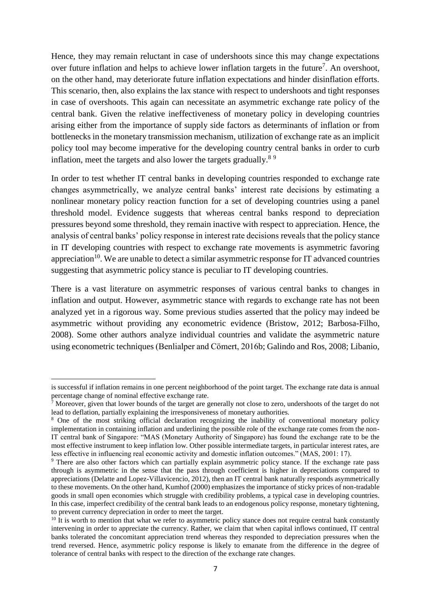Hence, they may remain reluctant in case of undershoots since this may change expectations over future inflation and helps to achieve lower inflation targets in the future<sup>7</sup>. An overshoot, on the other hand, may deteriorate future inflation expectations and hinder disinflation efforts. This scenario, then, also explains the lax stance with respect to undershoots and tight responses in case of overshoots. This again can necessitate an asymmetric exchange rate policy of the central bank. Given the relative ineffectiveness of monetary policy in developing countries arising either from the importance of supply side factors as determinants of inflation or from bottlenecks in the monetary transmission mechanism, utilization of exchange rate as an implicit policy tool may become imperative for the developing country central banks in order to curb inflation, meet the targets and also lower the targets gradually.<sup>89</sup>

In order to test whether IT central banks in developing countries responded to exchange rate changes asymmetrically, we analyze central banks' interest rate decisions by estimating a nonlinear monetary policy reaction function for a set of developing countries using a panel threshold model. Evidence suggests that whereas central banks respond to depreciation pressures beyond some threshold, they remain inactive with respect to appreciation. Hence, the analysis of central banks' policy response in interest rate decisions reveals that the policy stance in IT developing countries with respect to exchange rate movements is asymmetric favoring appreciation<sup>10</sup>. We are unable to detect a similar asymmetric response for IT advanced countries suggesting that asymmetric policy stance is peculiar to IT developing countries.

There is a vast literature on asymmetric responses of various central banks to changes in inflation and output. However, asymmetric stance with regards to exchange rate has not been analyzed yet in a rigorous way. Some previous studies asserted that the policy may indeed be asymmetric without providing any econometric evidence (Bristow, 2012; Barbosa-Filho, 2008). Some other authors analyze individual countries and validate the asymmetric nature using econometric techniques (Benlialper and Cömert, 2016b; Galindo and Ros, 2008; Libanio,

1

is successful if inflation remains in one percent neighborhood of the point target. The exchange rate data is annual percentage change of nominal effective exchange rate.

 $\bar{7}$  Moreover, given that lower bounds of the target are generally not close to zero, undershoots of the target do not lead to deflation, partially explaining the irresponsiveness of monetary authorities.

<sup>&</sup>lt;sup>8</sup> One of the most striking official declaration recognizing the inability of conventional monetary policy implementation in containing inflation and underlining the possible role of the exchange rate comes from the non-IT central bank of Singapore: "MAS (Monetary Authority of Singapore) has found the exchange rate to be the most effective instrument to keep inflation low. Other possible intermediate targets, in particular interest rates, are less effective in influencing real economic activity and domestic inflation outcomes." (MAS, 2001: 17).

<sup>&</sup>lt;sup>9</sup> There are also other factors which can partially explain asymmetric policy stance. If the exchange rate pass through is asymmetric in the sense that the pass through coefficient is higher in depreciations compared to appreciations (Delatte and Lopez-Villavicencio, 2012), then an IT central bank naturally responds asymmetrically to these movements. On the other hand, Kumhof (2000) emphasizes the importance of sticky prices of non-tradable goods in small open economies which struggle with credibility problems, a typical case in developing countries. In this case, imperfect credibility of the central bank leads to an endogenous policy response, monetary tightening, to prevent currency depreciation in order to meet the target.

 $10\text{ }\text{It}$  is worth to mention that what we refer to asymmetric policy stance does not require central bank constantly intervening in order to appreciate the currency. Rather, we claim that when capital inflows continued, IT central banks tolerated the concomitant appreciation trend whereas they responded to depreciation pressures when the trend reversed. Hence, asymmetric policy response is likely to emanate from the difference in the degree of tolerance of central banks with respect to the direction of the exchange rate changes.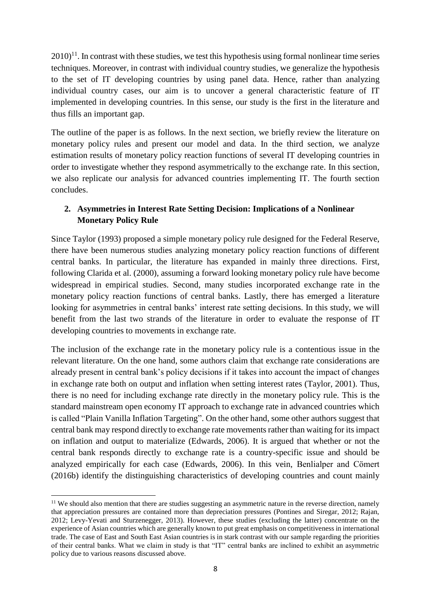$2010$ <sup>11</sup>. In contrast with these studies, we test this hypothesis using formal nonlinear time series techniques. Moreover, in contrast with individual country studies, we generalize the hypothesis to the set of IT developing countries by using panel data. Hence, rather than analyzing individual country cases, our aim is to uncover a general characteristic feature of IT implemented in developing countries. In this sense, our study is the first in the literature and thus fills an important gap.

The outline of the paper is as follows. In the next section, we briefly review the literature on monetary policy rules and present our model and data. In the third section, we analyze estimation results of monetary policy reaction functions of several IT developing countries in order to investigate whether they respond asymmetrically to the exchange rate. In this section, we also replicate our analysis for advanced countries implementing IT. The fourth section concludes.

# **2. Asymmetries in Interest Rate Setting Decision: Implications of a Nonlinear Monetary Policy Rule**

Since Taylor (1993) proposed a simple monetary policy rule designed for the Federal Reserve, there have been numerous studies analyzing monetary policy reaction functions of different central banks. In particular, the literature has expanded in mainly three directions. First, following Clarida et al. (2000), assuming a forward looking monetary policy rule have become widespread in empirical studies. Second, many studies incorporated exchange rate in the monetary policy reaction functions of central banks. Lastly, there has emerged a literature looking for asymmetries in central banks' interest rate setting decisions. In this study, we will benefit from the last two strands of the literature in order to evaluate the response of IT developing countries to movements in exchange rate.

The inclusion of the exchange rate in the monetary policy rule is a contentious issue in the relevant literature. On the one hand, some authors claim that exchange rate considerations are already present in central bank's policy decisions if it takes into account the impact of changes in exchange rate both on output and inflation when setting interest rates (Taylor, 2001). Thus, there is no need for including exchange rate directly in the monetary policy rule. This is the standard mainstream open economy IT approach to exchange rate in advanced countries which is called "Plain Vanilla Inflation Targeting". On the other hand, some other authors suggest that central bank may respond directly to exchange rate movements rather than waiting for its impact on inflation and output to materialize (Edwards, 2006). It is argued that whether or not the central bank responds directly to exchange rate is a country-specific issue and should be analyzed empirically for each case (Edwards, 2006). In this vein, Benlialper and Cömert (2016b) identify the distinguishing characteristics of developing countries and count mainly

**<sup>.</sup>**  $11$  We should also mention that there are studies suggesting an asymmetric nature in the reverse direction, namely that appreciation pressures are contained more than depreciation pressures (Pontines and Siregar, 2012; Rajan, 2012; Levy-Yevati and Sturzenegger, 2013). However, these studies (excluding the latter) concentrate on the experience of Asian countries which are generally known to put great emphasis on competitiveness in international trade. The case of East and South East Asian countries is in stark contrast with our sample regarding the priorities of their central banks. What we claim in study is that "IT" central banks are inclined to exhibit an asymmetric policy due to various reasons discussed above.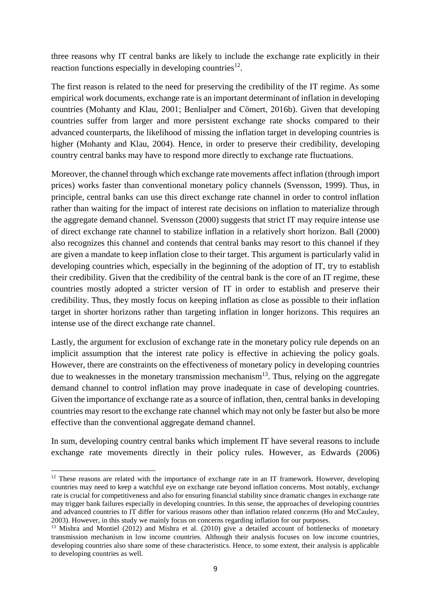three reasons why IT central banks are likely to include the exchange rate explicitly in their reaction functions especially in developing countries<sup>12</sup>.

The first reason is related to the need for preserving the credibility of the IT regime. As some empirical work documents, exchange rate is an important determinant of inflation in developing countries (Mohanty and Klau, 2001; Benlialper and Cömert, 2016b). Given that developing countries suffer from larger and more persistent exchange rate shocks compared to their advanced counterparts, the likelihood of missing the inflation target in developing countries is higher (Mohanty and Klau, 2004). Hence, in order to preserve their credibility, developing country central banks may have to respond more directly to exchange rate fluctuations.

Moreover, the channel through which exchange rate movements affect inflation (through import prices) works faster than conventional monetary policy channels (Svensson, 1999). Thus, in principle, central banks can use this direct exchange rate channel in order to control inflation rather than waiting for the impact of interest rate decisions on inflation to materialize through the aggregate demand channel. Svensson (2000) suggests that strict IT may require intense use of direct exchange rate channel to stabilize inflation in a relatively short horizon. Ball (2000) also recognizes this channel and contends that central banks may resort to this channel if they are given a mandate to keep inflation close to their target. This argument is particularly valid in developing countries which, especially in the beginning of the adoption of IT, try to establish their credibility. Given that the credibility of the central bank is the core of an IT regime, these countries mostly adopted a stricter version of IT in order to establish and preserve their credibility. Thus, they mostly focus on keeping inflation as close as possible to their inflation target in shorter horizons rather than targeting inflation in longer horizons. This requires an intense use of the direct exchange rate channel.

Lastly, the argument for exclusion of exchange rate in the monetary policy rule depends on an implicit assumption that the interest rate policy is effective in achieving the policy goals. However, there are constraints on the effectiveness of monetary policy in developing countries due to weaknesses in the monetary transmission mechanism $1<sup>3</sup>$ . Thus, relying on the aggregate demand channel to control inflation may prove inadequate in case of developing countries. Given the importance of exchange rate as a source of inflation, then, central banks in developing countries may resort to the exchange rate channel which may not only be faster but also be more effective than the conventional aggregate demand channel.

In sum, developing country central banks which implement IT have several reasons to include exchange rate movements directly in their policy rules. However, as Edwards (2006)

 $12$  These reasons are related with the importance of exchange rate in an IT framework. However, developing countries may need to keep a watchful eye on exchange rate beyond inflation concerns. Most notably, exchange rate is crucial for competitiveness and also for ensuring financial stability since dramatic changes in exchange rate may trigger bank failures especially in developing countries. In this sense, the approaches of developing countries and advanced countries to IT differ for various reasons other than inflation related concerns (Ho and McCauley, 2003). However, in this study we mainly focus on concerns regarding inflation for our purposes.

<sup>&</sup>lt;sup>13</sup> Mishra and Montiel (2012) and Mishra et al. (2010) give a detailed account of bottlenecks of monetary transmission mechanism in low income countries. Although their analysis focuses on low income countries, developing countries also share some of these characteristics. Hence, to some extent, their analysis is applicable to developing countries as well.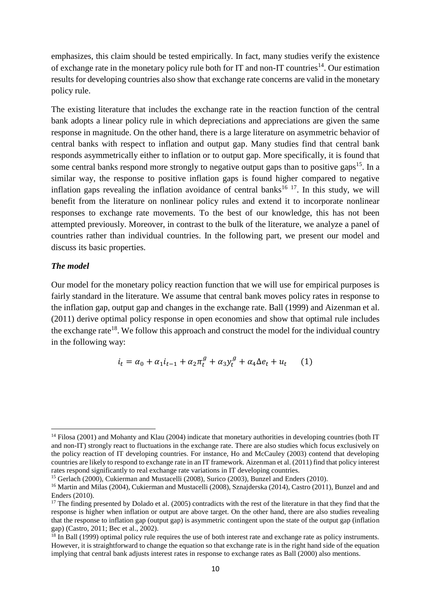emphasizes, this claim should be tested empirically. In fact, many studies verify the existence of exchange rate in the monetary policy rule both for IT and non-IT countries<sup>14</sup>. Our estimation results for developing countries also show that exchange rate concerns are valid in the monetary policy rule.

The existing literature that includes the exchange rate in the reaction function of the central bank adopts a linear policy rule in which depreciations and appreciations are given the same response in magnitude. On the other hand, there is a large literature on asymmetric behavior of central banks with respect to inflation and output gap. Many studies find that central bank responds asymmetrically either to inflation or to output gap. More specifically, it is found that some central banks respond more strongly to negative output gaps than to positive gaps<sup>15</sup>. In a similar way, the response to positive inflation gaps is found higher compared to negative inflation gaps revealing the inflation avoidance of central banks<sup>16 17</sup>. In this study, we will benefit from the literature on nonlinear policy rules and extend it to incorporate nonlinear responses to exchange rate movements. To the best of our knowledge, this has not been attempted previously. Moreover, in contrast to the bulk of the literature, we analyze a panel of countries rather than individual countries. In the following part, we present our model and discuss its basic properties.

### *The model*

1

Our model for the monetary policy reaction function that we will use for empirical purposes is fairly standard in the literature. We assume that central bank moves policy rates in response to the inflation gap, output gap and changes in the exchange rate. Ball (1999) and Aizenman et al. (2011) derive optimal policy response in open economies and show that optimal rule includes the exchange rate<sup>18</sup>. We follow this approach and construct the model for the individual country in the following way:

$$
i_t = \alpha_0 + \alpha_1 i_{t-1} + \alpha_2 \pi_t^g + \alpha_3 y_t^g + \alpha_4 \Delta e_t + u_t \tag{1}
$$

<sup>&</sup>lt;sup>14</sup> Filosa (2001) and Mohanty and Klau (2004) indicate that monetary authorities in developing countries (both IT and non-IT) strongly react to fluctuations in the exchange rate. There are also studies which focus exclusively on the policy reaction of IT developing countries. For instance, Ho and McCauley (2003) contend that developing countries are likely to respond to exchange rate in an IT framework. Aizenman et al. (2011) find that policy interest rates respond significantly to real exchange rate variations in IT developing countries.

<sup>&</sup>lt;sup>15</sup> Gerlach (2000), Cukierman and Mustacelli (2008), Surico (2003), Bunzel and Enders (2010).

<sup>&</sup>lt;sup>16</sup> Martin and Milas (2004), Cukierman and Mustacelli (2008), Sznajderska (2014), Castro (2011), Bunzel and and Enders (2010).

<sup>&</sup>lt;sup>17</sup> The finding presented by Dolado et al. (2005) contradicts with the rest of the literature in that they find that the response is higher when inflation or output are above target. On the other hand, there are also studies revealing that the response to inflation gap (output gap) is asymmetric contingent upon the state of the output gap (inflation gap) (Castro, 2011; Bec et al., 2002).

 $18$  In Ball (1999) optimal policy rule requires the use of both interest rate and exchange rate as policy instruments. However, it is straightforward to change the equation so that exchange rate is in the right hand side of the equation implying that central bank adjusts interest rates in response to exchange rates as Ball (2000) also mentions.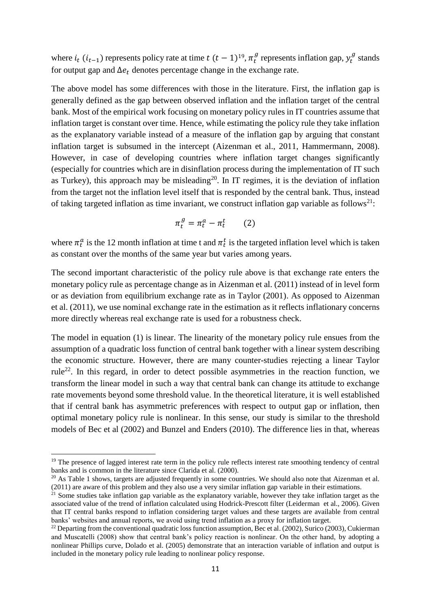where  $i_t$  ( $i_{t-1}$ ) represents policy rate at time  $t$  ( $t-1$ )<sup>19</sup>,  $\pi_t^g$  represents inflation gap,  $y_t^g$  stands for output gap and  $\Delta e_t$  denotes percentage change in the exchange rate.

The above model has some differences with those in the literature. First, the inflation gap is generally defined as the gap between observed inflation and the inflation target of the central bank. Most of the empirical work focusing on monetary policy rules in IT countries assume that inflation target is constant over time. Hence, while estimating the policy rule they take inflation as the explanatory variable instead of a measure of the inflation gap by arguing that constant inflation target is subsumed in the intercept (Aizenman et al., 2011, Hammermann, 2008). However, in case of developing countries where inflation target changes significantly (especially for countries which are in disinflation process during the implementation of IT such as Turkey), this approach may be misleading<sup>20</sup>. In IT regimes, it is the deviation of inflation from the target not the inflation level itself that is responded by the central bank. Thus, instead of taking targeted inflation as time invariant, we construct inflation gap variable as follows<sup>21</sup>:

$$
\pi_t^g = \pi_t^a - \pi_t^t \qquad (2)
$$

where  $\pi_t^a$  is the 12 month inflation at time t and  $\pi_t^t$  is the targeted inflation level which is taken as constant over the months of the same year but varies among years.

The second important characteristic of the policy rule above is that exchange rate enters the monetary policy rule as percentage change as in Aizenman et al. (2011) instead of in level form or as deviation from equilibrium exchange rate as in Taylor (2001). As opposed to Aizenman et al. (2011), we use nominal exchange rate in the estimation as it reflects inflationary concerns more directly whereas real exchange rate is used for a robustness check.

The model in equation (1) is linear. The linearity of the monetary policy rule ensues from the assumption of a quadratic loss function of central bank together with a linear system describing the economic structure. However, there are many counter-studies rejecting a linear Taylor rule<sup>22</sup>. In this regard, in order to detect possible asymmetries in the reaction function, we transform the linear model in such a way that central bank can change its attitude to exchange rate movements beyond some threshold value. In the theoretical literature, it is well established that if central bank has asymmetric preferences with respect to output gap or inflation, then optimal monetary policy rule is nonlinear. In this sense, our study is similar to the threshold models of Bec et al (2002) and Bunzel and Enders (2010). The difference lies in that, whereas

1

<sup>&</sup>lt;sup>19</sup> The presence of lagged interest rate term in the policy rule reflects interest rate smoothing tendency of central banks and is common in the literature since Clarida et al. (2000).

 $20$  As Table 1 shows, targets are adjusted frequently in some countries. We should also note that Aizenman et al. (2011) are aware of this problem and they also use a very similar inflation gap variable in their estimations.

 $21$  Some studies take inflation gap variable as the explanatory variable, however they take inflation target as the associated value of the trend of inflation calculated using Hodrick-Prescott filter (Leiderman et al., 2006). Given that IT central banks respond to inflation considering target values and these targets are available from central banks' websites and annual reports, we avoid using trend inflation as a proxy for inflation target.

<sup>&</sup>lt;sup>22</sup> Departing from the conventional quadratic loss function assumption, Bec et al. (2002), Surico (2003), Cukierman and Muscatelli (2008) show that central bank's policy reaction is nonlinear. On the other hand, by adopting a nonlinear Phillips curve, Dolado et al. (2005) demonstrate that an interaction variable of inflation and output is included in the monetary policy rule leading to nonlinear policy response.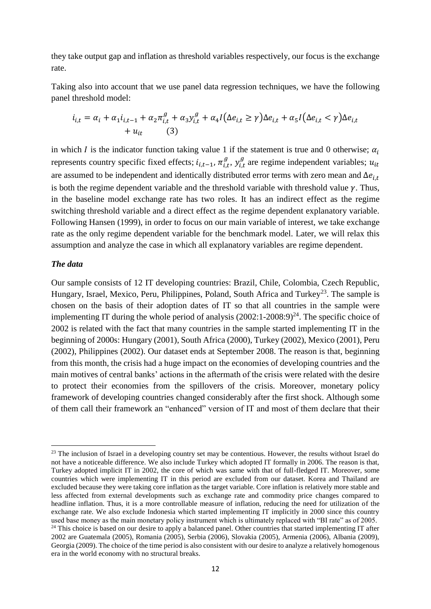they take output gap and inflation as threshold variables respectively, our focus is the exchange rate.

Taking also into account that we use panel data regression techniques, we have the following panel threshold model:

$$
i_{i,t} = \alpha_i + \alpha_1 i_{i,t-1} + \alpha_2 \pi_{i,t}^g + \alpha_3 y_{i,t}^g + \alpha_4 I(\Delta e_{i,t} \ge \gamma) \Delta e_{i,t} + \alpha_5 I(\Delta e_{i,t} < \gamma) \Delta e_{i,t} + u_{it} \tag{3}
$$

in which *I* is the indicator function taking value 1 if the statement is true and 0 otherwise;  $\alpha_i$ represents country specific fixed effects;  $i_{i,t-1}$ ,  $\pi_{i,t}^g$ ,  $y_{i,t}^g$  are regime independent variables;  $u_{it}$ are assumed to be independent and identically distributed error terms with zero mean and  $\Delta e_{i,t}$ is both the regime dependent variable and the threshold variable with threshold value  $\gamma$ . Thus, in the baseline model exchange rate has two roles. It has an indirect effect as the regime switching threshold variable and a direct effect as the regime dependent explanatory variable. Following Hansen (1999), in order to focus on our main variable of interest, we take exchange rate as the only regime dependent variable for the benchmark model. Later, we will relax this assumption and analyze the case in which all explanatory variables are regime dependent.

#### *The data*

**.** 

Our sample consists of 12 IT developing countries: Brazil, Chile, Colombia, Czech Republic, Hungary, Israel, Mexico, Peru, Philippines, Poland, South Africa and Turkey<sup>23</sup>. The sample is chosen on the basis of their adoption dates of IT so that all countries in the sample were implementing IT during the whole period of analysis  $(2002:1-2008:9)^{24}$ . The specific choice of 2002 is related with the fact that many countries in the sample started implementing IT in the beginning of 2000s: Hungary (2001), South Africa (2000), Turkey (2002), Mexico (2001), Peru (2002), Philippines (2002). Our dataset ends at September 2008. The reason is that, beginning from this month, the crisis had a huge impact on the economies of developing countries and the main motives of central banks' actions in the aftermath of the crisis were related with the desire to protect their economies from the spillovers of the crisis. Moreover, monetary policy framework of developing countries changed considerably after the first shock. Although some of them call their framework an "enhanced" version of IT and most of them declare that their

<sup>&</sup>lt;sup>23</sup> The inclusion of Israel in a developing country set may be contentious. However, the results without Israel do not have a noticeable difference. We also include Turkey which adopted IT formally in 2006. The reason is that, Turkey adopted implicit IT in 2002, the core of which was same with that of full-fledged IT. Moreover, some countries which were implementing IT in this period are excluded from our dataset. Korea and Thailand are excluded because they were taking core inflation as the target variable. Core inflation is relatively more stable and less affected from external developments such as exchange rate and commodity price changes compared to headline inflation. Thus, it is a more controllable measure of inflation, reducing the need for utilization of the exchange rate. We also exclude Indonesia which started implementing IT implicitly in 2000 since this country used base money as the main monetary policy instrument which is ultimately replaced with "BI rate" as of 2005. <sup>24</sup> This choice is based on our desire to apply a balanced panel. Other countries that started implementing IT after 2002 are Guatemala (2005), Romania (2005), Serbia (2006), Slovakia (2005), Armenia (2006), Albania (2009), Georgia (2009). The choice of the time period is also consistent with our desire to analyze a relatively homogenous era in the world economy with no structural breaks.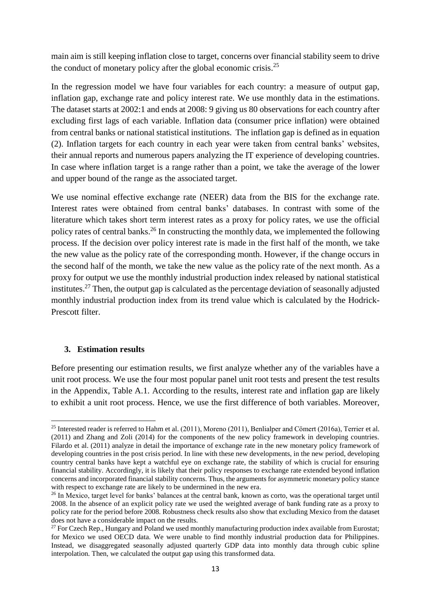main aim is still keeping inflation close to target, concerns over financial stability seem to drive the conduct of monetary policy after the global economic crisis.<sup>25</sup>

In the regression model we have four variables for each country: a measure of output gap, inflation gap, exchange rate and policy interest rate. We use monthly data in the estimations. The dataset starts at 2002:1 and ends at 2008: 9 giving us 80 observations for each country after excluding first lags of each variable. Inflation data (consumer price inflation) were obtained from central banks or national statistical institutions. The inflation gap is defined as in equation (2). Inflation targets for each country in each year were taken from central banks' websites, their annual reports and numerous papers analyzing the IT experience of developing countries. In case where inflation target is a range rather than a point, we take the average of the lower and upper bound of the range as the associated target.

We use nominal effective exchange rate (NEER) data from the BIS for the exchange rate. Interest rates were obtained from central banks' databases. In contrast with some of the literature which takes short term interest rates as a proxy for policy rates, we use the official policy rates of central banks.<sup>26</sup> In constructing the monthly data, we implemented the following process. If the decision over policy interest rate is made in the first half of the month, we take the new value as the policy rate of the corresponding month. However, if the change occurs in the second half of the month, we take the new value as the policy rate of the next month. As a proxy for output we use the monthly industrial production index released by national statistical institutes.<sup>27</sup> Then, the output gap is calculated as the percentage deviation of seasonally adjusted monthly industrial production index from its trend value which is calculated by the Hodrick-Prescott filter.

# **3. Estimation results**

Before presenting our estimation results, we first analyze whether any of the variables have a unit root process. We use the four most popular panel unit root tests and present the test results in the Appendix, Table A.1. According to the results, interest rate and inflation gap are likely to exhibit a unit root process. Hence, we use the first difference of both variables. Moreover,

 $\overline{a}$ <sup>25</sup> Interested reader is referred to Hahm et al. (2011), Moreno (2011), Benlialper and Cömert (2016a), Terrier et al. (2011) and Zhang and Zoli (2014) for the components of the new policy framework in developing countries. Filardo et al. (2011) analyze in detail the importance of exchange rate in the new monetary policy framework of developing countries in the post crisis period. In line with these new developments, in the new period, developing country central banks have kept a watchful eye on exchange rate, the stability of which is crucial for ensuring financial stability. Accordingly, it is likely that their policy responses to exchange rate extended beyond inflation concerns and incorporated financial stability concerns. Thus, the arguments for asymmetric monetary policy stance with respect to exchange rate are likely to be undermined in the new era.

<sup>&</sup>lt;sup>26</sup> In Mexico, target level for banks' balances at the central bank, known as corto, was the operational target until 2008. In the absence of an explicit policy rate we used the weighted average of bank funding rate as a proxy to policy rate for the period before 2008. Robustness check results also show that excluding Mexico from the dataset does not have a considerable impact on the results.

<sup>&</sup>lt;sup>27</sup> For Czech Rep., Hungary and Poland we used monthly manufacturing production index available from Eurostat; for Mexico we used OECD data. We were unable to find monthly industrial production data for Philippines. Instead, we disaggregated seasonally adjusted quarterly GDP data into monthly data through cubic spline interpolation. Then, we calculated the output gap using this transformed data.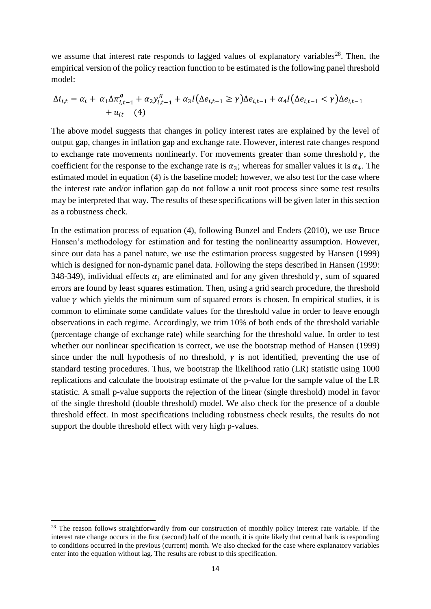we assume that interest rate responds to lagged values of explanatory variables<sup>28</sup>. Then, the empirical version of the policy reaction function to be estimated is the following panel threshold model:

$$
\Delta i_{i,t} = \alpha_i + \alpha_1 \Delta \pi_{i,t-1}^g + \alpha_2 y_{i,t-1}^g + \alpha_3 I(\Delta e_{i,t-1} \ge \gamma) \Delta e_{i,t-1} + \alpha_4 I(\Delta e_{i,t-1} < \gamma) \Delta e_{i,t-1} + u_{it} \tag{4}
$$

The above model suggests that changes in policy interest rates are explained by the level of output gap, changes in inflation gap and exchange rate. However, interest rate changes respond to exchange rate movements nonlinearly. For movements greater than some threshold  $\gamma$ , the coefficient for the response to the exchange rate is  $\alpha_3$ ; whereas for smaller values it is  $\alpha_4$ . The estimated model in equation (4) is the baseline model; however, we also test for the case where the interest rate and/or inflation gap do not follow a unit root process since some test results may be interpreted that way. The results of these specifications will be given later in this section as a robustness check.

In the estimation process of equation (4), following Bunzel and Enders (2010), we use Bruce Hansen's methodology for estimation and for testing the nonlinearity assumption. However, since our data has a panel nature, we use the estimation process suggested by Hansen (1999) which is designed for non-dynamic panel data. Following the steps described in Hansen (1999: 348-349), individual effects  $\alpha_i$  are eliminated and for any given threshold  $\gamma$ , sum of squared errors are found by least squares estimation. Then, using a grid search procedure, the threshold value  $\gamma$  which yields the minimum sum of squared errors is chosen. In empirical studies, it is common to eliminate some candidate values for the threshold value in order to leave enough observations in each regime. Accordingly, we trim 10% of both ends of the threshold variable (percentage change of exchange rate) while searching for the threshold value. In order to test whether our nonlinear specification is correct, we use the bootstrap method of Hansen (1999) since under the null hypothesis of no threshold,  $\gamma$  is not identified, preventing the use of standard testing procedures. Thus, we bootstrap the likelihood ratio (LR) statistic using 1000 replications and calculate the bootstrap estimate of the p-value for the sample value of the LR statistic. A small p-value supports the rejection of the linear (single threshold) model in favor of the single threshold (double threshold) model. We also check for the presence of a double threshold effect. In most specifications including robustness check results, the results do not support the double threshold effect with very high p-values.

<sup>&</sup>lt;sup>28</sup> The reason follows straightforwardly from our construction of monthly policy interest rate variable. If the interest rate change occurs in the first (second) half of the month, it is quite likely that central bank is responding to conditions occurred in the previous (current) month. We also checked for the case where explanatory variables enter into the equation without lag. The results are robust to this specification.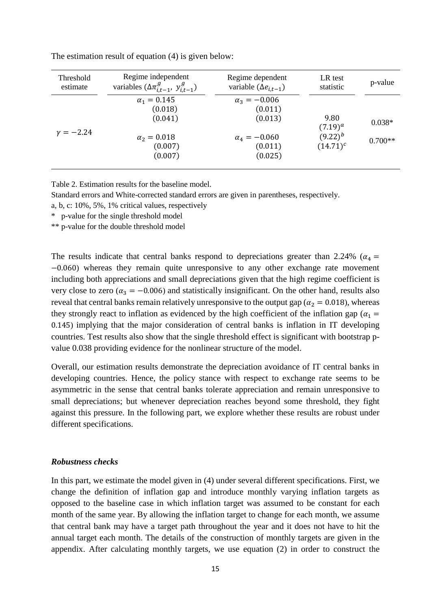| Threshold     | Regime independent                                                                   | Regime dependent                                                                       | LR test                                           | p-value               |
|---------------|--------------------------------------------------------------------------------------|----------------------------------------------------------------------------------------|---------------------------------------------------|-----------------------|
| estimate      | variables $(\Delta \pi_{i,t-1}^g, y_{i,t-1}^g)$                                      | variable $(\Delta e_{i,t-1})$                                                          | statistic                                         |                       |
| $\nu = -2.24$ | $\alpha_1 = 0.145$<br>(0.018)<br>(0.041)<br>$\alpha_2 = 0.018$<br>(0.007)<br>(0.007) | $\alpha_3 = -0.006$<br>(0.011)<br>(0.013)<br>$\alpha_4 = -0.060$<br>(0.011)<br>(0.025) | 9.80<br>$(7.19)^{a}$<br>$(9.22)^b$<br>$(14.71)^c$ | $0.038*$<br>$0.700**$ |

The estimation result of equation (4) is given below:

Table 2. Estimation results for the baseline model.

Standard errors and White-corrected standard errors are given in parentheses, respectively.

a, b, c: 10%, 5%, 1% critical values, respectively

\* p-value for the single threshold model

\*\* p-value for the double threshold model

The results indicate that central banks respond to depreciations greater than 2.24% ( $\alpha_4$  = −0.060) whereas they remain quite unresponsive to any other exchange rate movement including both appreciations and small depreciations given that the high regime coefficient is very close to zero ( $\alpha_3 = -0.006$ ) and statistically insignificant. On the other hand, results also reveal that central banks remain relatively unresponsive to the output gap ( $\alpha_2 = 0.018$ ), whereas they strongly react to inflation as evidenced by the high coefficient of the inflation gap ( $\alpha_1$  = 0.145) implying that the major consideration of central banks is inflation in IT developing countries. Test results also show that the single threshold effect is significant with bootstrap pvalue 0.038 providing evidence for the nonlinear structure of the model.

Overall, our estimation results demonstrate the depreciation avoidance of IT central banks in developing countries. Hence, the policy stance with respect to exchange rate seems to be asymmetric in the sense that central banks tolerate appreciation and remain unresponsive to small depreciations; but whenever depreciation reaches beyond some threshold, they fight against this pressure. In the following part, we explore whether these results are robust under different specifications.

## *Robustness checks*

In this part, we estimate the model given in (4) under several different specifications. First, we change the definition of inflation gap and introduce monthly varying inflation targets as opposed to the baseline case in which inflation target was assumed to be constant for each month of the same year. By allowing the inflation target to change for each month, we assume that central bank may have a target path throughout the year and it does not have to hit the annual target each month. The details of the construction of monthly targets are given in the appendix. After calculating monthly targets, we use equation (2) in order to construct the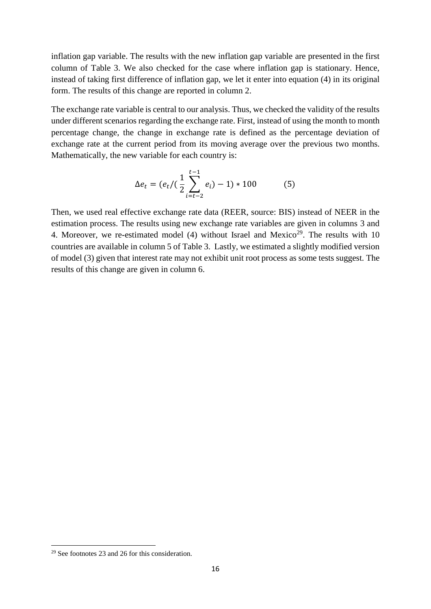inflation gap variable. The results with the new inflation gap variable are presented in the first column of Table 3. We also checked for the case where inflation gap is stationary. Hence, instead of taking first difference of inflation gap, we let it enter into equation (4) in its original form. The results of this change are reported in column 2.

The exchange rate variable is central to our analysis. Thus, we checked the validity of the results under different scenarios regarding the exchange rate. First, instead of using the month to month percentage change, the change in exchange rate is defined as the percentage deviation of exchange rate at the current period from its moving average over the previous two months. Mathematically, the new variable for each country is:

$$
\Delta e_t = (e_t / (\frac{1}{2} \sum_{i=t-2}^{t-1} e_i) - 1) * 100
$$
 (5)

Then, we used real effective exchange rate data (REER, source: BIS) instead of NEER in the estimation process. The results using new exchange rate variables are given in columns 3 and 4. Moreover, we re-estimated model (4) without Israel and Mexico<sup>29</sup>. The results with  $10$ countries are available in column 5 of Table 3. Lastly, we estimated a slightly modified version of model (3) given that interest rate may not exhibit unit root process as some tests suggest. The results of this change are given in column 6.

<sup>&</sup>lt;sup>29</sup> See footnotes 23 and 26 for this consideration.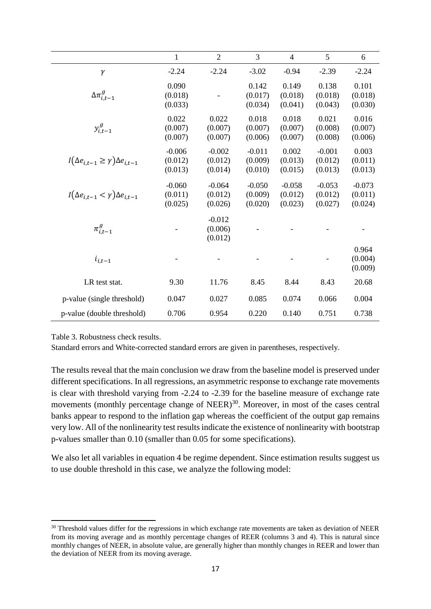|                                                   | 1                              | $\overline{2}$                 | 3                              | 4                              | 5                              | 6                              |
|---------------------------------------------------|--------------------------------|--------------------------------|--------------------------------|--------------------------------|--------------------------------|--------------------------------|
| $\gamma$                                          | $-2.24$                        | $-2.24$                        | $-3.02$                        | $-0.94$                        | $-2.39$                        | $-2.24$                        |
| $\Delta \pi^g_{i.t-1}$                            | 0.090<br>(0.018)<br>(0.033)    |                                | 0.142<br>(0.017)<br>(0.034)    | 0.149<br>(0.018)<br>(0.041)    | 0.138<br>(0.018)<br>(0.043)    | 0.101<br>(0.018)<br>(0.030)    |
| $y_{i,t-1}^g$                                     | 0.022<br>(0.007)<br>(0.007)    | 0.022<br>(0.007)<br>(0.007)    | 0.018<br>(0.007)<br>(0.006)    | 0.018<br>(0.007)<br>(0.007)    | 0.021<br>(0.008)<br>(0.008)    | 0.016<br>(0.007)<br>(0.006)    |
| $I(\Delta e_{i,t-1} \ge \gamma) \Delta e_{i,t-1}$ | $-0.006$<br>(0.012)<br>(0.013) | $-0.002$<br>(0.012)<br>(0.014) | $-0.011$<br>(0.009)<br>(0.010) | 0.002<br>(0.013)<br>(0.015)    | $-0.001$<br>(0.012)<br>(0.013) | 0.003<br>(0.011)<br>(0.013)    |
| $I(\Delta e_{i,t-1} < \gamma) \Delta e_{i,t-1}$   | $-0.060$<br>(0.011)<br>(0.025) | $-0.064$<br>(0.012)<br>(0.026) | $-0.050$<br>(0.009)<br>(0.020) | $-0.058$<br>(0.012)<br>(0.023) | $-0.053$<br>(0.012)<br>(0.027) | $-0.073$<br>(0.011)<br>(0.024) |
| $\pi^g_{i.t-1}$                                   |                                | $-0.012$<br>(0.006)<br>(0.012) |                                |                                |                                |                                |
| $i_{i,t-1}$                                       |                                |                                |                                |                                |                                | 0.964<br>(0.004)<br>(0.009)    |
| LR test stat.                                     | 9.30                           | 11.76                          | 8.45                           | 8.44                           | 8.43                           | 20.68                          |
| p-value (single threshold)                        | 0.047                          | 0.027                          | 0.085                          | 0.074                          | 0.066                          | 0.004                          |
| p-value (double threshold)                        | 0.706                          | 0.954                          | 0.220                          | 0.140                          | 0.751                          | 0.738                          |

Table 3. Robustness check results.

**.** 

Standard errors and White-corrected standard errors are given in parentheses, respectively.

The results reveal that the main conclusion we draw from the baseline model is preserved under different specifications. In all regressions, an asymmetric response to exchange rate movements is clear with threshold varying from -2.24 to -2.39 for the baseline measure of exchange rate movements (monthly percentage change of NEER) $30$ . Moreover, in most of the cases central banks appear to respond to the inflation gap whereas the coefficient of the output gap remains very low. All of the nonlinearity test results indicate the existence of nonlinearity with bootstrap p-values smaller than 0.10 (smaller than 0.05 for some specifications).

We also let all variables in equation 4 be regime dependent. Since estimation results suggest us to use double threshold in this case, we analyze the following model:

<sup>&</sup>lt;sup>30</sup> Threshold values differ for the regressions in which exchange rate movements are taken as deviation of NEER from its moving average and as monthly percentage changes of REER (columns 3 and 4). This is natural since monthly changes of NEER, in absolute value, are generally higher than monthly changes in REER and lower than the deviation of NEER from its moving average.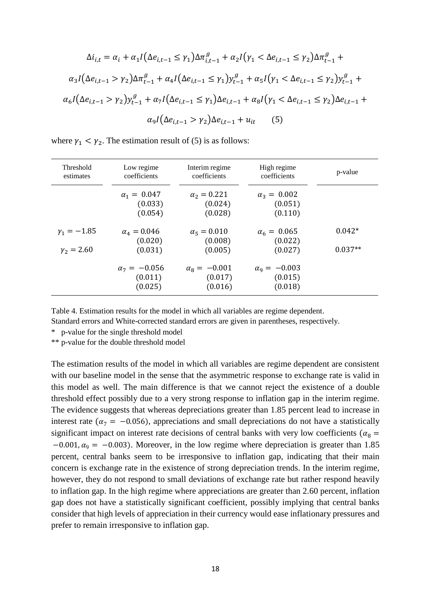$$
\Delta i_{i,t} = \alpha_i + \alpha_1 I (\Delta e_{i,t-1} \le \gamma_1) \Delta \pi_{i,t-1}^g + \alpha_2 I (\gamma_1 < \Delta e_{i,t-1} \le \gamma_2) \Delta \pi_{t-1}^g + \alpha_3 I (\Delta e_{i,t-1} > \gamma_2) \Delta \pi_{t-1}^g + \alpha_4 I (\Delta e_{i,t-1} \le \gamma_1) y_{t-1}^g + \alpha_5 I (\gamma_1 < \Delta e_{i,t-1} \le \gamma_2) y_{t-1}^g + \alpha_6 I (\Delta e_{i,t-1} > \gamma_2) y_{t-1}^g + \alpha_7 I (\Delta e_{i,t-1} \le \gamma_1) \Delta e_{i,t-1} + \alpha_8 I (\gamma_1 < \Delta e_{i,t-1} \le \gamma_2) \Delta e_{i,t-1} + \alpha_9 I (\Delta e_{i,t-1} > \gamma_2) \Delta e_{i,t-1} + u_{it} \tag{5}
$$

where  $\gamma_1 < \gamma_2$ . The estimation result of (5) is as follows:

| Threshold<br>estimates | Low regime<br>coefficients                | Interim regime<br>coefficients              | High regime<br>coefficients                 | p-value   |
|------------------------|-------------------------------------------|---------------------------------------------|---------------------------------------------|-----------|
|                        | $\alpha_1 = 0.047$<br>(0.033)<br>(0.054)  | $\alpha_2 = 0.221$<br>(0.024)<br>(0.028)    | $\alpha_3 = 0.002$<br>(0.051)<br>(0.110)    |           |
| $\gamma_1 = -1.85$     | $\alpha_4 = 0.046$<br>(0.020)             | $\alpha_5 = 0.010$<br>(0.008)               | $\alpha_6 = 0.065$<br>(0.022)               | $0.042*$  |
| $\gamma_2 = 2.60$      | (0.031)                                   | (0.005)                                     | (0.027)                                     | $0.037**$ |
|                        | $\alpha_7 = -0.056$<br>(0.011)<br>(0.025) | $\alpha_{8} = -0.001$<br>(0.017)<br>(0.016) | $\alpha_{9} = -0.003$<br>(0.015)<br>(0.018) |           |

Table 4. Estimation results for the model in which all variables are regime dependent.

Standard errors and White-corrected standard errors are given in parentheses, respectively.

\* p-value for the single threshold model

\*\* p-value for the double threshold model

The estimation results of the model in which all variables are regime dependent are consistent with our baseline model in the sense that the asymmetric response to exchange rate is valid in this model as well. The main difference is that we cannot reject the existence of a double threshold effect possibly due to a very strong response to inflation gap in the interim regime. The evidence suggests that whereas depreciations greater than 1.85 percent lead to increase in interest rate ( $\alpha_7 = -0.056$ ), appreciations and small depreciations do not have a statistically significant impact on interest rate decisions of central banks with very low coefficients ( $\alpha_8$  =  $-0.001, \alpha_9 = -0.003$ ). Moreover, in the low regime where depreciation is greater than 1.85 percent, central banks seem to be irresponsive to inflation gap, indicating that their main concern is exchange rate in the existence of strong depreciation trends. In the interim regime, however, they do not respond to small deviations of exchange rate but rather respond heavily to inflation gap. In the high regime where appreciations are greater than 2.60 percent, inflation gap does not have a statistically significant coefficient, possibly implying that central banks consider that high levels of appreciation in their currency would ease inflationary pressures and prefer to remain irresponsive to inflation gap.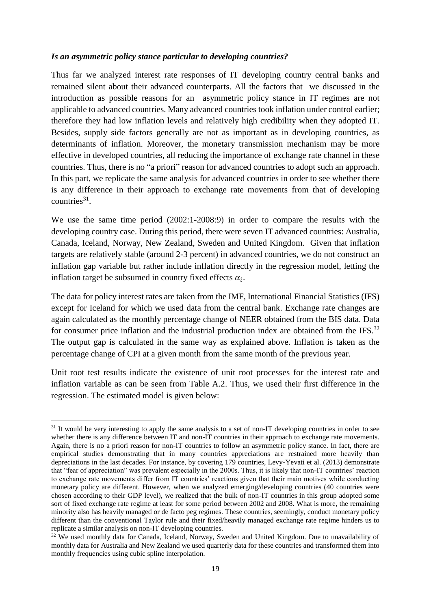## *Is an asymmetric policy stance particular to developing countries?*

Thus far we analyzed interest rate responses of IT developing country central banks and remained silent about their advanced counterparts. All the factors that we discussed in the introduction as possible reasons for an asymmetric policy stance in IT regimes are not applicable to advanced countries. Many advanced countries took inflation under control earlier; therefore they had low inflation levels and relatively high credibility when they adopted IT. Besides, supply side factors generally are not as important as in developing countries, as determinants of inflation. Moreover, the monetary transmission mechanism may be more effective in developed countries, all reducing the importance of exchange rate channel in these countries. Thus, there is no "a priori" reason for advanced countries to adopt such an approach. In this part, we replicate the same analysis for advanced countries in order to see whether there is any difference in their approach to exchange rate movements from that of developing countries $31$ .

We use the same time period (2002:1-2008:9) in order to compare the results with the developing country case. During this period, there were seven IT advanced countries: Australia, Canada, Iceland, Norway, New Zealand, Sweden and United Kingdom. Given that inflation targets are relatively stable (around 2-3 percent) in advanced countries, we do not construct an inflation gap variable but rather include inflation directly in the regression model, letting the inflation target be subsumed in country fixed effects  $\alpha_i$ .

The data for policy interest rates are taken from the IMF, International Financial Statistics (IFS) except for Iceland for which we used data from the central bank. Exchange rate changes are again calculated as the monthly percentage change of NEER obtained from the BIS data. Data for consumer price inflation and the industrial production index are obtained from the IFS.<sup>32</sup> The output gap is calculated in the same way as explained above. Inflation is taken as the percentage change of CPI at a given month from the same month of the previous year.

Unit root test results indicate the existence of unit root processes for the interest rate and inflation variable as can be seen from Table A.2. Thus, we used their first difference in the regression. The estimated model is given below:

 $\overline{a}$  $31$  It would be very interesting to apply the same analysis to a set of non-IT developing countries in order to see whether there is any difference between IT and non-IT countries in their approach to exchange rate movements. Again, there is no a priori reason for non-IT countries to follow an asymmetric policy stance. In fact, there are empirical studies demonstrating that in many countries appreciations are restrained more heavily than depreciations in the last decades. For instance, by covering 179 countries, Levy-Yevati et al. (2013) demonstrate that "fear of appreciation" was prevalent especially in the 2000s. Thus, it is likely that non-IT countries' reaction to exchange rate movements differ from IT countries' reactions given that their main motives while conducting monetary policy are different. However, when we analyzed emerging/developing countries (40 countries were chosen according to their GDP level), we realized that the bulk of non-IT countries in this group adopted some sort of fixed exchange rate regime at least for some period between 2002 and 2008. What is more, the remaining minority also has heavily managed or de facto peg regimes. These countries, seemingly, conduct monetary policy different than the conventional Taylor rule and their fixed/heavily managed exchange rate regime hinders us to replicate a similar analysis on non-IT developing countries.

<sup>&</sup>lt;sup>32</sup> We used monthly data for Canada, Iceland, Norway, Sweden and United Kingdom. Due to unavailability of monthly data for Australia and New Zealand we used quarterly data for these countries and transformed them into monthly frequencies using cubic spline interpolation.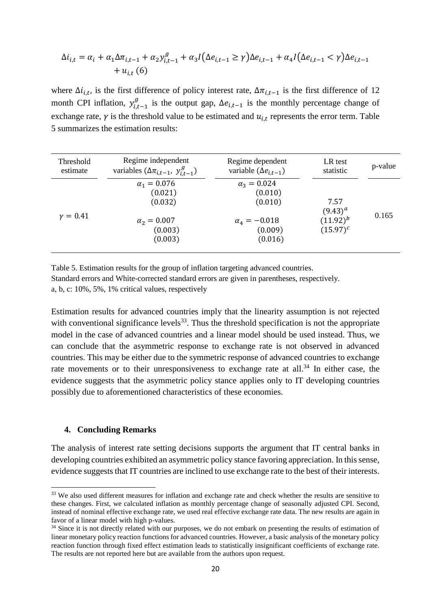$$
\Delta i_{i,t} = \alpha_i + \alpha_1 \Delta \pi_{i,t-1} + \alpha_2 y_{i,t-1}^g + \alpha_3 I(\Delta e_{i,t-1} \ge \gamma) \Delta e_{i,t-1} + \alpha_4 I(\Delta e_{i,t-1} < \gamma) \Delta e_{i,t-1} + u_{i,t} \tag{6}
$$

where  $\Delta i_{i,t}$ , is the first difference of policy interest rate,  $\Delta \pi_{i,t-1}$  is the first difference of 12 month CPI inflation,  $y_{i,t-1}^g$  is the output gap,  $\Delta e_{i,t-1}$  is the monthly percentage change of exchange rate,  $\gamma$  is the threshold value to be estimated and  $u_{i,t}$  represents the error term. Table 5 summarizes the estimation results:

| Threshold    | Regime independent                                                                   | Regime dependent                                                                        | LR test                                              | p-value |
|--------------|--------------------------------------------------------------------------------------|-----------------------------------------------------------------------------------------|------------------------------------------------------|---------|
| estimate     | variables $(\Delta \pi_{i,t-1}, y_{i,t-1}^g)$                                        | variable $(\Delta e_{i,t-1})$                                                           | statistic                                            |         |
| $\nu = 0.41$ | $\alpha_1 = 0.076$<br>(0.021)<br>(0.032)<br>$\alpha_2 = 0.007$<br>(0.003)<br>(0.003) | $\alpha_3 = 0.024$<br>(0.010)<br>(0.010)<br>$\alpha_{4} = -0.018$<br>(0.009)<br>(0.016) | 7.57<br>$(9.43)^{a}$<br>$(11.92)^{b}$<br>$(15.97)^c$ | 0.165   |

Table 5. Estimation results for the group of inflation targeting advanced countries. Standard errors and White-corrected standard errors are given in parentheses, respectively.

a, b, c: 10%, 5%, 1% critical values, respectively

Estimation results for advanced countries imply that the linearity assumption is not rejected with conventional significance levels<sup>33</sup>. Thus the threshold specification is not the appropriate model in the case of advanced countries and a linear model should be used instead. Thus, we can conclude that the asymmetric response to exchange rate is not observed in advanced countries. This may be either due to the symmetric response of advanced countries to exchange rate movements or to their unresponsiveness to exchange rate at all.<sup>34</sup> In either case, the evidence suggests that the asymmetric policy stance applies only to IT developing countries possibly due to aforementioned characteristics of these economies.

#### **4. Concluding Remarks**

**.** 

The analysis of interest rate setting decisions supports the argument that IT central banks in developing countries exhibited an asymmetric policy stance favoring appreciation. In this sense, evidence suggests that IT countries are inclined to use exchange rate to the best of their interests.

<sup>&</sup>lt;sup>33</sup> We also used different measures for inflation and exchange rate and check whether the results are sensitive to these changes. First, we calculated inflation as monthly percentage change of seasonally adjusted CPI. Second, instead of nominal effective exchange rate, we used real effective exchange rate data. The new results are again in favor of a linear model with high p-values.

<sup>&</sup>lt;sup>34</sup> Since it is not directly related with our purposes, we do not embark on presenting the results of estimation of linear monetary policy reaction functions for advanced countries. However, a basic analysis of the monetary policy reaction function through fixed effect estimation leads to statistically insignificant coefficients of exchange rate. The results are not reported here but are available from the authors upon request.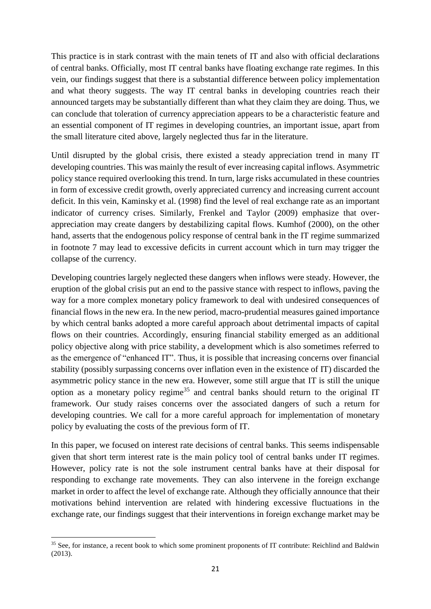This practice is in stark contrast with the main tenets of IT and also with official declarations of central banks. Officially, most IT central banks have floating exchange rate regimes. In this vein, our findings suggest that there is a substantial difference between policy implementation and what theory suggests. The way IT central banks in developing countries reach their announced targets may be substantially different than what they claim they are doing. Thus, we can conclude that toleration of currency appreciation appears to be a characteristic feature and an essential component of IT regimes in developing countries, an important issue, apart from the small literature cited above, largely neglected thus far in the literature.

Until disrupted by the global crisis, there existed a steady appreciation trend in many IT developing countries. This was mainly the result of ever increasing capital inflows. Asymmetric policy stance required overlooking this trend. In turn, large risks accumulated in these countries in form of excessive credit growth, overly appreciated currency and increasing current account deficit. In this vein, Kaminsky et al. (1998) find the level of real exchange rate as an important indicator of currency crises. Similarly, Frenkel and Taylor (2009) emphasize that overappreciation may create dangers by destabilizing capital flows. Kumhof (2000), on the other hand, asserts that the endogenous policy response of central bank in the IT regime summarized in footnote 7 may lead to excessive deficits in current account which in turn may trigger the collapse of the currency.

Developing countries largely neglected these dangers when inflows were steady. However, the eruption of the global crisis put an end to the passive stance with respect to inflows, paving the way for a more complex monetary policy framework to deal with undesired consequences of financial flows in the new era. In the new period, macro-prudential measures gained importance by which central banks adopted a more careful approach about detrimental impacts of capital flows on their countries. Accordingly, ensuring financial stability emerged as an additional policy objective along with price stability, a development which is also sometimes referred to as the emergence of "enhanced IT". Thus, it is possible that increasing concerns over financial stability (possibly surpassing concerns over inflation even in the existence of IT) discarded the asymmetric policy stance in the new era. However, some still argue that IT is still the unique option as a monetary policy regime<sup>35</sup> and central banks should return to the original IT framework. Our study raises concerns over the associated dangers of such a return for developing countries. We call for a more careful approach for implementation of monetary policy by evaluating the costs of the previous form of IT.

In this paper, we focused on interest rate decisions of central banks. This seems indispensable given that short term interest rate is the main policy tool of central banks under IT regimes. However, policy rate is not the sole instrument central banks have at their disposal for responding to exchange rate movements. They can also intervene in the foreign exchange market in order to affect the level of exchange rate. Although they officially announce that their motivations behind intervention are related with hindering excessive fluctuations in the exchange rate, our findings suggest that their interventions in foreign exchange market may be

**<sup>.</sup>** <sup>35</sup> See, for instance, a recent book to which some prominent proponents of IT contribute: Reichlind and Baldwin (2013).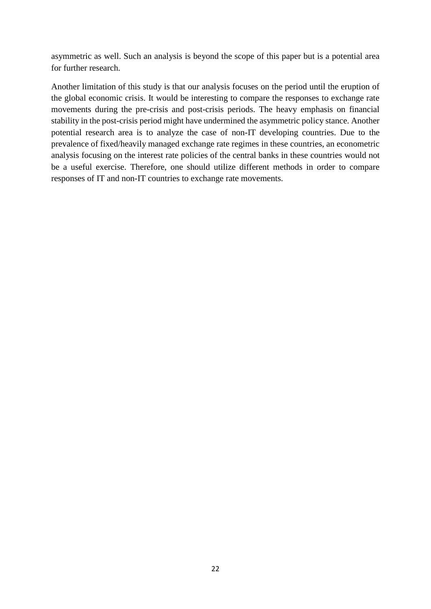asymmetric as well. Such an analysis is beyond the scope of this paper but is a potential area for further research.

Another limitation of this study is that our analysis focuses on the period until the eruption of the global economic crisis. It would be interesting to compare the responses to exchange rate movements during the pre-crisis and post-crisis periods. The heavy emphasis on financial stability in the post-crisis period might have undermined the asymmetric policy stance. Another potential research area is to analyze the case of non-IT developing countries. Due to the prevalence of fixed/heavily managed exchange rate regimes in these countries, an econometric analysis focusing on the interest rate policies of the central banks in these countries would not be a useful exercise. Therefore, one should utilize different methods in order to compare responses of IT and non-IT countries to exchange rate movements.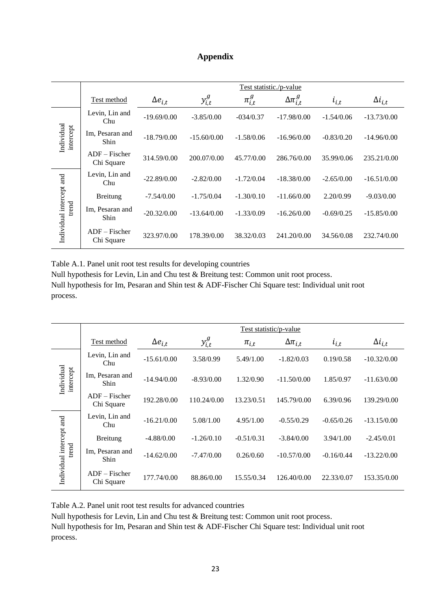# **Appendix**

|                                   | Test statistic./p-value       |                  |               |               |                      |              |                  |
|-----------------------------------|-------------------------------|------------------|---------------|---------------|----------------------|--------------|------------------|
|                                   | Test method                   | $\Delta e_{i,t}$ | $y_{i,t}^g$   | $\pi^g_{i,t}$ | $\Delta \pi^g_{i,t}$ | $i_{i,t}$    | $\Delta i_{i,t}$ |
|                                   | Levin, Lin and<br>Chu         | $-19.69/0.00$    | $-3.85/0.00$  | $-034/0.37$   | $-17.98/0.00$        | $-1.54/0.06$ | $-13.73/0.00$    |
| Individual<br>intercept           | Im, Pesaran and<br>Shin       | $-18.79/0.00$    | $-15.60/0.00$ | $-1.58/0.06$  | $-16.96/0.00$        | $-0.83/0.20$ | $-14.96/0.00$    |
|                                   | $ADF - Fischer$<br>Chi Square | 314.59/0.00      | 200.07/0.00   | 45.77/0.00    | 286.76/0.00          | 35.99/0.06   | 235.21/0.00      |
|                                   | Levin, Lin and<br>Chu         | $-22.89/0.00$    | $-2.82/0.00$  | $-1.72/0.04$  | $-18.38/0.00$        | $-2.65/0.00$ | $-16.51/0.00$    |
|                                   | <b>Breitung</b>               | $-7.54/0.00$     | $-1.75/0.04$  | $-1.30/0.10$  | $-11.66/0.00$        | 2.20/0.99    | $-9.03/0.00$     |
| Individual intercept and<br>trend | Im, Pesaran and<br>Shin       | $-20.32/0.00$    | $-13.64/0.00$ | $-1.33/0.09$  | $-16.26/0.00$        | $-0.69/0.25$ | $-15.85/0.00$    |
|                                   | $ADF - Fischer$<br>Chi Square | 323.97/0.00      | 178.39/0.00   | 38.32/0.03    | 241.20/0.00          | 34.56/0.08   | 232.74/0.00      |

Table A.1. Panel unit root test results for developing countries

Null hypothesis for Levin, Lin and Chu test & Breitung test: Common unit root process. Null hypothesis for Im, Pesaran and Shin test & ADF-Fischer Chi Square test: Individual unit root process.

|                                   | Test statistic/p-value        |                  |              |              |                   |              |                  |  |
|-----------------------------------|-------------------------------|------------------|--------------|--------------|-------------------|--------------|------------------|--|
|                                   | Test method                   | $\Delta e_{i,t}$ | $y_{i,t}^g$  | $\pi_{i,t}$  | $\Delta\pi_{i,t}$ | $i_{i,t}$    | $\Delta i_{i,t}$ |  |
|                                   | Levin, Lin and<br>Chu         | $-15.61/0.00$    | 3.58/0.99    | 5.49/1.00    | $-1.82/0.03$      | 0.19/0.58    | $-10.32/0.00$    |  |
| Individual<br>intercept           | Im, Pesaran and<br>Shin       | $-14.94/0.00$    | $-8.93/0.00$ | 1.32/0.90    | $-11.50/0.00$     | 1.85/0.97    | $-11.63/0.00$    |  |
|                                   | $ADF - Fischer$<br>Chi Square | 192.28/0.00      | 110.24/0.00  | 13.23/0.51   | 145.79/0.00       | 6.39/0.96    | 139.29/0.00      |  |
|                                   | Levin, Lin and<br>Chu         | $-16.21/0.00$    | 5.08/1.00    | 4.95/1.00    | $-0.55/0.29$      | $-0.65/0.26$ | $-13.15/0.00$    |  |
|                                   | <b>Breitung</b>               | $-4.88/0.00$     | $-1.26/0.10$ | $-0.51/0.31$ | $-3.84/0.00$      | 3.94/1.00    | $-2.45/0.01$     |  |
| Individual intercept and<br>trend | Im, Pesaran and<br>Shin       | $-14.62/0.00$    | $-7.47/0.00$ | 0.26/0.60    | $-10.57/0.00$     | $-0.16/0.44$ | $-13.22/0.00$    |  |
|                                   | $ADF - Fischer$<br>Chi Square | 177.74/0.00      | 88.86/0.00   | 15.55/0.34   | 126.40/0.00       | 22.33/0.07   | 153.35/0.00      |  |

Table A.2. Panel unit root test results for advanced countries

Null hypothesis for Levin, Lin and Chu test & Breitung test: Common unit root process.

Null hypothesis for Im, Pesaran and Shin test & ADF-Fischer Chi Square test: Individual unit root process.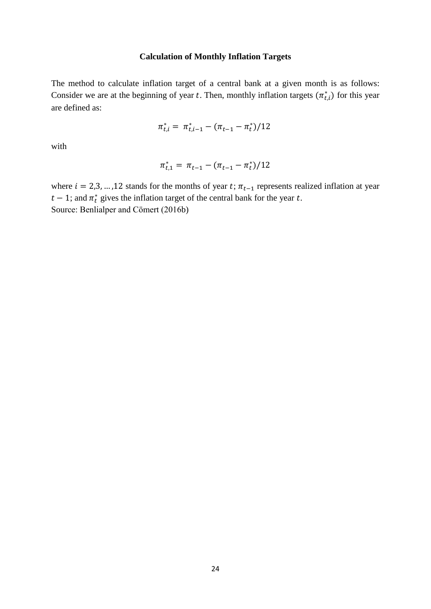# **Calculation of Monthly Inflation Targets**

The method to calculate inflation target of a central bank at a given month is as follows: Consider we are at the beginning of year t. Then, monthly inflation targets  $(\pi_{t,i}^*)$  for this year are defined as:

$$
\pi_{t,i}^* = \pi_{t,i-1}^* - (\pi_{t-1} - \pi_t^*)/12
$$

with

$$
\pi_{t,1}^* = \pi_{t-1} - (\pi_{t-1} - \pi_t^*)/12
$$

where  $i = 2,3,...,12$  stands for the months of year t;  $\pi_{t-1}$  represents realized inflation at year  $t-1$ ; and  $\pi_t^*$  gives the inflation target of the central bank for the year t. Source: Benlialper and Cömert (2016b)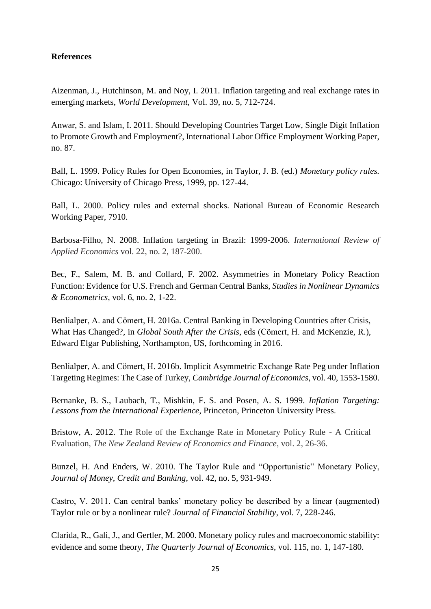# **References**

Aizenman, J., Hutchinson, M. and Noy, I. 2011. Inflation targeting and real exchange rates in emerging markets, *World Development,* Vol. 39, no. 5, 712-724.

Anwar, S. and Islam, I. 2011. Should Developing Countries Target Low, Single Digit Inflation to Promote Growth and Employment?, International Labor Office Employment Working Paper, no. 87.

Ball, L. 1999. Policy Rules for Open Economies, in Taylor, J. B. (ed.) *Monetary policy rules.* Chicago: University of Chicago Press, 1999, pp. 127-44.

Ball, L. 2000. Policy rules and external shocks. National Bureau of Economic Research Working Paper*,* 7910.

Barbosa-Filho, N. 2008. Inflation targeting in Brazil: 1999-2006. *International Review of Applied Economics* vol. 22, no. 2, 187-200.

Bec, F., Salem, M. B. and Collard, F. 2002. Asymmetries in Monetary Policy Reaction Function: Evidence for U.S. French and German Central Banks, *Studies in Nonlinear Dynamics & Econometrics*, vol. 6, no. 2, 1-22.

Benlialper, A. and Cömert, H. 2016a. Central Banking in Developing Countries after Crisis, What Has Changed?, in *Global South After the Crisis*, eds (Cömert, H. and McKenzie, R.), Edward Elgar Publishing, Northampton, US, forthcoming in 2016.

Benlialper, A. and Cömert, H. 2016b. Implicit Asymmetric Exchange Rate Peg under Inflation Targeting Regimes: The Case of Turkey, *Cambridge Journal of Economics*, vol. 40, 1553-1580.

Bernanke, B. S., Laubach, T., Mishkin, F. S. and Posen, A. S. 1999. *Inflation Targeting: Lessons from the International Experience,* Princeton, Princeton University Press.

Bristow, A. 2012. The Role of the Exchange Rate in Monetary Policy Rule - A Critical Evaluation, *The New Zealand Review of Economics and Finance*, vol. 2, 26-36.

Bunzel, H. And Enders, W. 2010. The Taylor Rule and "Opportunistic" Monetary Policy, *Journal of Money, Credit and Banking*, vol. 42, no. 5, 931-949.

Castro, V. 2011. Can central banks' monetary policy be described by a linear (augmented) Taylor rule or by a nonlinear rule? *Journal of Financial Stability*, vol. 7, 228-246.

Clarida, R., Gali, J., and Gertler, M. 2000. Monetary policy rules and macroeconomic stability: evidence and some theory, *The Quarterly Journal of Economics*, vol. 115, no. 1, 147-180.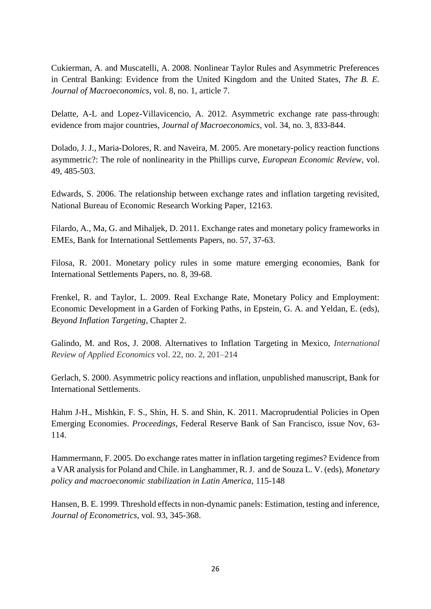Cukierman, A. and Muscatelli, A. 2008. Nonlinear Taylor Rules and Asymmetric Preferences in Central Banking: Evidence from the United Kingdom and the United States, *The B. E. Journal of Macroeconomics*, vol. 8, no. 1, article 7.

Delatte, A-L and Lopez-Villavicencio, A. 2012. Asymmetric exchange rate pass-through: evidence from major countries, *Journal of Macroeconomics*, vol. 34, no. 3, 833-844.

Dolado, J. J., Maria-Dolores, R. and Naveira, M. 2005. Are monetary-policy reaction functions asymmetric?: The role of nonlinearity in the Phillips curve, *European Economic Review*, vol. 49, 485-503.

Edwards, S. 2006. The relationship between exchange rates and inflation targeting revisited, National Bureau of Economic Research Working Paper, 12163.

Filardo, A., Ma, G. and Mihaljek, D. 2011. Exchange rates and monetary policy frameworks in EMEs, Bank for International Settlements Papers, no. 57, 37-63.

Filosa, R. 2001. Monetary policy rules in some mature emerging economies, Bank for International Settlements Papers, no. 8, 39-68.

Frenkel, R. and Taylor, L. 2009. Real Exchange Rate, Monetary Policy and Employment: Economic Development in a Garden of Forking Paths, in Epstein, G. A. and Yeldan, E. (eds), *Beyond Inflation Targeting*, Chapter 2.

Galindo, M. and Ros, J. 2008. Alternatives to Inflation Targeting in Mexico, *International Review of Applied Economics* vol. 22, no. 2, 201–214

Gerlach, S. 2000. Asymmetric policy reactions and inflation, unpublished manuscript, Bank for International Settlements.

Hahm J-H., Mishkin, F. S., Shin, H. S. and Shin, K. 2011. Macroprudential Policies in Open Emerging Economies. *Proceedings*, Federal Reserve Bank of San Francisco, issue Nov, 63- 114.

Hammermann, F. 2005. Do exchange rates matter in inflation targeting regimes? Evidence from a VAR analysis for Poland and Chile. in Langhammer, R. J. and de Souza L. V. (eds), *Monetary policy and macroeconomic stabilization in Latin America,* 115-148

Hansen, B. E. 1999. Threshold effects in non-dynamic panels: Estimation, testing and inference, *Journal of Econometrics*, vol. 93, 345-368.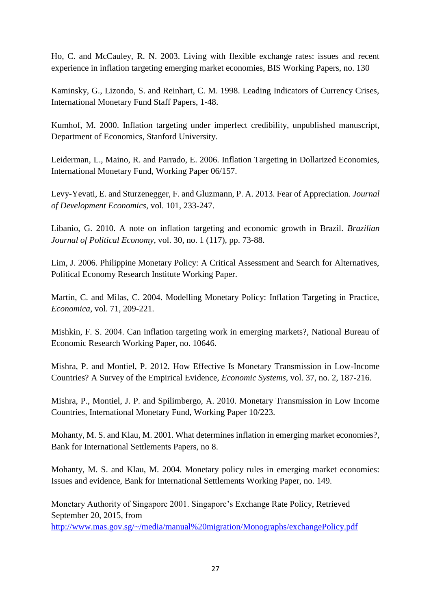Ho, C. and McCauley, R. N. 2003. Living with flexible exchange rates: issues and recent experience in inflation targeting emerging market economies, BIS Working Papers, no. 130

Kaminsky, G., Lizondo, S. and Reinhart, C. M. 1998. Leading Indicators of Currency Crises, International Monetary Fund Staff Papers, 1-48.

Kumhof, M. 2000. Inflation targeting under imperfect credibility, unpublished manuscript, Department of Economics, Stanford University.

Leiderman, L., Maino, R. and Parrado, E. 2006. Inflation Targeting in Dollarized Economies, International Monetary Fund, Working Paper 06/157.

Levy-Yevati, E. and Sturzenegger, F. and Gluzmann, P. A. 2013. Fear of Appreciation. *Journal of Development Economics*, vol. 101, 233-247.

Libanio, G. 2010. A note on inflation targeting and economic growth in Brazil. *Brazilian Journal of Political Economy*, vol. 30, no. 1 (117), pp. 73-88.

Lim, J. 2006. Philippine Monetary Policy: A Critical Assessment and Search for Alternatives, Political Economy Research Institute Working Paper.

Martin, C. and Milas, C. 2004. Modelling Monetary Policy: Inflation Targeting in Practice, *Economica*, vol. 71, 209-221.

Mishkin, F. S. 2004. Can inflation targeting work in emerging markets?, National Bureau of Economic Research Working Paper, no. 10646.

Mishra, P. and Montiel, P. 2012. How Effective Is Monetary Transmission in Low-Income Countries? A Survey of the Empirical Evidence, *Economic Systems*, vol. 37, no. 2, 187-216.

Mishra, P., Montiel, J. P. and Spilimbergo, A. 2010. Monetary Transmission in Low Income Countries, International Monetary Fund, Working Paper 10/223.

Mohanty, M. S. and Klau, M. 2001. What determines inflation in emerging market economies?, Bank for International Settlements Papers, no 8.

Mohanty, M. S. and Klau, M. 2004. Monetary policy rules in emerging market economies: Issues and evidence, Bank for International Settlements Working Paper, no. 149.

Monetary Authority of Singapore 2001. Singapore's Exchange Rate Policy, Retrieved September 20, 2015, from

<http://www.mas.gov.sg/~/media/manual%20migration/Monographs/exchangePolicy.pdf>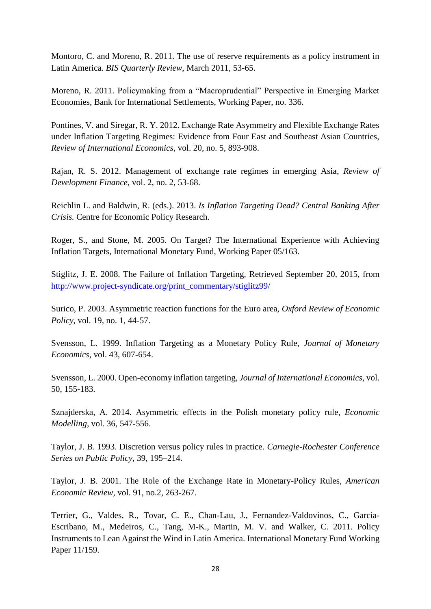Montoro, C. and Moreno, R. 2011. The use of reserve requirements as a policy instrument in Latin America. *BIS Quarterly Review*, March 2011, 53-65.

Moreno, R. 2011. Policymaking from a "Macroprudential" Perspective in Emerging Market Economies, Bank for International Settlements, Working Paper, no. 336.

Pontines, V. and Siregar, R. Y. 2012. Exchange Rate Asymmetry and Flexible Exchange Rates under Inflation Targeting Regimes: Evidence from Four East and Southeast Asian Countries, *Review of International Economics*, vol. 20, no. 5, 893-908.

Rajan, R. S. 2012. Management of exchange rate regimes in emerging Asia, *Review of Development Finance*, vol. 2, no. 2, 53-68.

Reichlin L. and Baldwin, R. (eds.). 2013. *Is Inflation Targeting Dead? Central Banking After Crisis.* Centre for Economic Policy Research.

Roger, S., and Stone, M. 2005. On Target? The International Experience with Achieving Inflation Targets, International Monetary Fund, Working Paper 05/163.

Stiglitz, J. E. 2008. The Failure of Inflation Targeting, Retrieved September 20, 2015, from [http://www.project-syndicate.org/print\\_commentary/stiglitz99/](http://www.project-syndicate.org/print_commentary/stiglitz99/)

Surico, P. 2003. Asymmetric reaction functions for the Euro area, *Oxford Review of Economic Policy*, vol. 19, no. 1, 44-57.

Svensson, L. 1999. Inflation Targeting as a Monetary Policy Rule, *Journal of Monetary Economics,* vol. 43, 607-654.

Svensson, L. 2000. Open-economy inflation targeting, *Journal of International Economics*, vol. 50, 155-183.

Sznajderska, A. 2014. Asymmetric effects in the Polish monetary policy rule, *Economic Modelling*, vol. 36, 547-556.

Taylor, J. B. 1993. Discretion versus policy rules in practice. *Carnegie-Rochester Conference Series on Public Policy*, 39, 195–214.

Taylor, J. B. 2001. The Role of the Exchange Rate in Monetary-Policy Rules, *American Economic Review,* vol. 91, no.2, 263-267.

Terrier, G., Valdes, R., Tovar, C. E., Chan-Lau, J., Fernandez-Valdovinos, C., Garcia-Escribano, M., Medeiros, C., Tang, M-K., Martin, M. V. and Walker, C. 2011. Policy Instruments to Lean Against the Wind in Latin America. International Monetary Fund Working Paper 11/159.